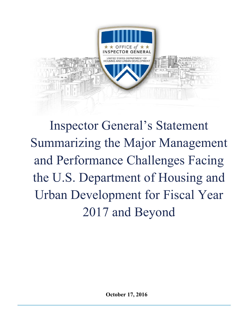

Inspector General's Statement Summarizing the Major Management and Performance Challenges Facing the U.S. Department of Housing and Urban Development for Fiscal Year 2017 and Beyond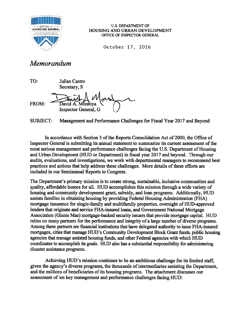

**EXAMPLE OF A TABLE OF A TABLE OF A TABLE OF A TABLE OF A TABLE OF A TABLE OF A TABLE OF A TABLE OF A TABLE OF A TABLE OF A TABLE OF A TABLE OF A TABLE OF A TABLE OF A TABLE OF A TABLE OF A TABLE OF A TABLE OF A TABLE OF A** HOUSING AND URBAN DEVELOPMENT OFFICE OF INSPECTOR GENERAL

October 17, 2016

# Memorandum

TO: Julian Castro Secretary, S

FROM: David A. Montova Inspector General, G

SUBJECT: Management and Performance Challenges for Fiscal Year 2017 and Beyond

In accordance with Section 3 of the Reports Consolidation Act of 2000, the Office of Inspector General is submitting its annual statement to summarize its current assessment ofthe most serious managemen<sup>t</sup> and performance challenges facing the U.S. Department of Housing and Urban Development (HUD or Department) in fiscal year 2017 and beyond. Through our audits, evaluations, and investigations, we work with departmental managers to recommend best practices and actions that help address these challenges. More details of these efforts are included in our Semiannual Reports to Congress.

The Department's primary mission is to create strong, sustainable, inclusive communities and quality, affordable homes for all. HUD accomplishes this mission through <sup>a</sup> wide variety of housing and community development grant, subsidy, and loan programs. Additionally, HUD assists families in obtaining housing by providing Federal Housing Administration (FHA) mortgage insurance for single-family and multifamily properties, oversight of HLJD-approved lenders that originate and service FHA-insured loans, and Government National Mortgage Association (Ginnie Mae) mortgage-backed security issuers that provide mortgage capital. HUD relies on many partners for the performance and integrity of <sup>a</sup> large number of diverse programs. Among these partners are financial institutions that have delegated authority to issue FHA-insured mortgages, cities that manage HUD's Community Development Block Grant funds, public housing agencies that manage assisted housing funds, and other Federal agencies with which HUD coordinates to accomplish its goals. HUD also has <sup>a</sup> substantial responsibility for administering disaster assistance programs.

Achieving HUD's mission continues to be an ambitious challenge for its limited staff, given the agency's diverse programs, the thousands of intermediaries assisting the Department, and the millions of beneficiaries of its housing programs. The attachment discusses our assessment of ten key management and performance challenges facing HUD: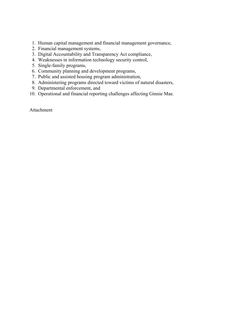- 1. Human capital management and financial management governance,
- 2. Financial management systems,
- 3. Digital Accountability and Transparency Act compliance,
- 4. Weaknesses in information technology security control,
- 5. Single-family programs,
- 6. Community planning and development programs,
- 7. Public and assisted housing program administration,
- 8. Administering programs directed toward victims of natural disasters,
- 9. Departmental enforcement, and
- 10. Operational and financial reporting challenges affecting Ginnie Mae.

Attachment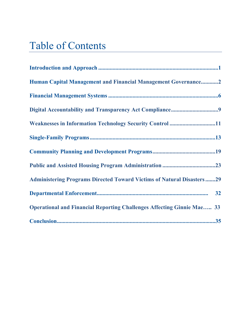# Table of Contents

| Human Capital Management and Financial Management Governance2                 |
|-------------------------------------------------------------------------------|
|                                                                               |
|                                                                               |
| Weaknesses in Information Technology Security Control 11                      |
|                                                                               |
|                                                                               |
|                                                                               |
| <b>Administering Programs Directed Toward Victims of Natural Disasters29</b>  |
|                                                                               |
| <b>Operational and Financial Reporting Challenges Affecting Ginnie Mae 33</b> |
|                                                                               |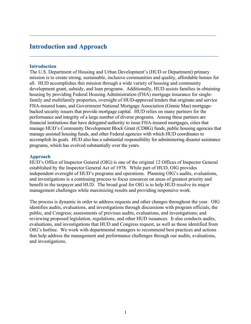# **Introduction and Approach**

#### **Introduction**

The U.S. Department of Housing and Urban Development's (HUD or Department) primary mission is to create strong, sustainable, inclusive communities and quality, affordable homes for all. HUD accomplishes this mission through a wide variety of housing and community development grant, subsidy, and loan programs. Additionally, HUD assists families in obtaining housing by providing Federal Housing Administration (FHA) mortgage insurance for singlefamily and multifamily properties, oversight of HUD-approved lenders that originate and service FHA-insured loans, and Government National Mortgage Association (Ginnie Mae) mortgagebacked security issuers that provide mortgage capital. HUD relies on many partners for the performance and integrity of a large number of diverse programs. Among these partners are financial institutions that have delegated authority to issue FHA-insured mortgages, cities that manage HUD's Community Development Block Grant (CDBG) funds, public housing agencies that manage assisted housing funds, and other Federal agencies with which HUD coordinates to accomplish its goals. HUD also has a substantial responsibility for administering disaster assistance programs, which has evolved substantially over the years.

 $\mathcal{L}_\text{max} = \mathcal{L}_\text{max} = \mathcal{L}_\text{max} = \mathcal{L}_\text{max} = \mathcal{L}_\text{max} = \mathcal{L}_\text{max} = \mathcal{L}_\text{max} = \mathcal{L}_\text{max} = \mathcal{L}_\text{max} = \mathcal{L}_\text{max} = \mathcal{L}_\text{max} = \mathcal{L}_\text{max} = \mathcal{L}_\text{max} = \mathcal{L}_\text{max} = \mathcal{L}_\text{max} = \mathcal{L}_\text{max} = \mathcal{L}_\text{max} = \mathcal{L}_\text{max} = \mathcal{$ 

#### **Approach**

HUD's Office of Inspector General (OIG) is one of the original 12 Offices of Inspector General established by the Inspector General Act of 1978. While part of HUD, OIG provides independent oversight of HUD's programs and operations. Planning OIG's audits, evaluations, and investigations is a continuing process to focus resources on areas of greatest priority and benefit to the taxpayer and HUD. The broad goal for OIG is to help HUD resolve its major management challenges while maximizing results and providing responsive work.

The process is dynamic in order to address requests and other changes throughout the year. OIG identifies audits, evaluations, and investigations through discussions with program officials, the public, and Congress; assessments of previous audits, evaluations, and investigations; and reviewing proposed legislation, regulations, and other HUD issuances. It also conducts audits, evaluations, and investigations that HUD and Congress request, as well as those identified from OIG's hotline. We work with departmental managers to recommend best practices and actions that help address the management and performance challenges through our audits, evaluations, and investigations.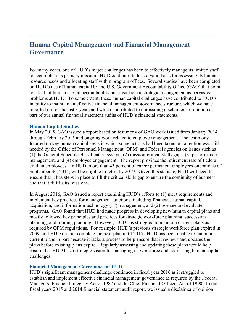# **Human Capital Management and Financial Management Governance**

For many years, one of HUD's major challenges has been to effectively manage its limited staff to accomplish its primary mission. HUD continues to lack a valid basis for assessing its human resource needs and allocating staff within program offices. Several studies have been completed on HUD's use of human capital by the U.S. Government Accountability Office (GAO) that point to a lack of human capital accountability and insufficient strategic management as pervasive problems at HUD. To some extent, these human capital challenges have contributed to HUD's inability to maintain an effective financial management governance structure, which we have reported on for the last 3 years and which contributed to our issuing disclaimers of opinion as part of our annual financial statement audits of HUD's financial statements.

#### **Human Capital Studies**

In May 2015, GAO issued a report based on testimony of GAO work issued from January 2014 through February 2015 and ongoing work related to employee engagement. The testimony focused on key human capital areas in which some actions had been taken but attention was still needed by the Office of Personnel Management (OPM) and Federal agencies on issues such as (1) the General Schedule classification system, (2) mission-critical skills gaps, (3) performance management, and (4) employee engagement. The report provides the retirement rate of Federal civilian employees. In HUD, more than 43 percent of career permanent employees onboard as of September 30, 2014, will be eligible to retire by 2019. Given this statistic, HUD will need to ensure that it has steps in place to fill the critical skills gap to ensure the continuity of business and that it fulfills its missions.

In August 2016, GAO issued a report examining HUD's efforts to (1) meet requirements and implement key practices for management functions, including financial, human capital, acquisition, and information technology (IT) management, and (2) oversee and evaluate programs. GAO found that HUD had made progress in developing new human capital plans and mostly followed key principles and practices for strategic workforce planning, succession planning, and training planning. However, HUD has struggled to maintain current plans as required by OPM regulations. For example, HUD's previous strategic workforce plan expired in 2009, and HUD did not complete the next plan until 2015. HUD has been unable to maintain current plans in part because it lacks a process to help ensure that it reviews and updates the plans before existing plans expire. Regularly assessing and updating these plans would help ensure that HUD has a strategic vision for managing its workforce and addressing human capital challenges.

#### **Financial Management Governance of HUD**

HUD's significant management challenge continued in fiscal year 2016 as it struggled to establish and implement effective financial management governance as required by the Federal Managers' Financial Integrity Act of 1982 and the Chief Financial Officers Act of 1990. In our fiscal years 2015 and 2014 financial statement audit report, we issued a disclaimer of opinion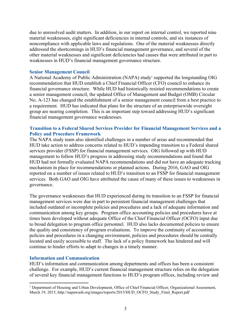due to unresolved audit matters. In addition, in our report on internal control, we reported nine material weaknesses, eight significant deficiencies in internal controls, and six instances of noncompliance with applicable laws and regulations. One of the material weaknesses directly addressed the shortcomings in HUD's financial management governance, and several of the other material weaknesses and significant deficiencies had causes that were attributed in part to weaknesses in HUD's financial management governance structure.

#### **Senior Management Council**

A National Academy of Public Administration (NAPA) study<sup>1</sup> supported the longstanding OIG recommendation that HUD establish a Chief Financial Officer (CFO) council to enhance its financial governance structure. While HUD had historically resisted recommendations to create a senior management council, the updated Office of Management and Budget (OMB) Circular No. A-123 has changed the establishment of a senior management council from a best practice to a requirement. HUD has indicated that plans for the structure of an enterprisewide oversight group are nearing completion. This is an important step toward addressing HUD's significant financial management governance weaknesses.

# **Transition to a Federal Shared Services Provider for Financial Management Services and a Policy and Procedure Framework**

The NAPA study team also identified challenges in a number of areas and recommended that HUD take action to address concerns related to HUD's impending transition to a Federal shared services provider (FSSP) for financial management services. OIG followed up with HUD management to follow HUD's progress in addressing study recommendations and found that HUD had not formally evaluated NAPA recommendations and did not have an adequate tracking mechanism in place for recommendations or planned actions. During 2016, GAO and OIG reported on a number of issues related to HUD's transition to an FSSP for financial management services. Both GAO and OIG have attributed the cause of many of these issues to weaknesses in governance.

The governance weaknesses that HUD experienced during its transition to an FSSP for financial management services were due in part to persistent financial management challenges that included outdated or incomplete policies and procedures and a lack of adequate information and communication among key groups. Program office accounting policies and procedures have at times been developed without adequate Office of the Chief Financial Officer (OCFO) input due to broad delegation to program office personnel. HUD also lacks documented policies to ensure the quality and consistency of program evaluations. To improve the continuity of accounting policies and procedures in a changing environment, policies and procedures should be centrally located and easily accessible to staff. The lack of a policy framework has hindered and will continue to hinder efforts to adapt to changes in a timely manner.

# **Information and Communication**

HUD's information and communication among departments and offices has been a consistent challenge. For example, HUD's current financial management structure relies on the delegation of several key financial management functions to HUD's program offices, including review and

<sup>&</sup>lt;sup>1</sup> Department of Housing and Urban Development, Office of Chief Financial Officer, Organizational Assessment, March 19, 2015, http://napawash.org/images/reports/2015/HUD\_OCFO\_Study\_Final\_Report.pdf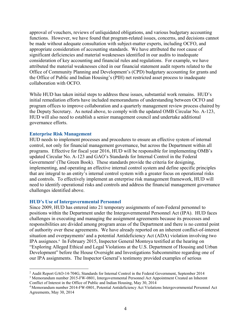approval of vouchers, reviews of unliquidated obligations, and various budgetary accounting functions. However, we have found that program-related issues, concerns, and decisions cannot be made without adequate consultation with subject-matter experts, including OCFO, and appropriate consideration of accounting standards. We have attributed the root cause of significant deficiencies and material weaknesses identified in our audits to inadequate consideration of key accounting and financial rules and regulations. For example, we have attributed the material weaknesses cited in our financial statement audit reports related to the Office of Community Planning and Development's (CPD) budgetary accounting for grants and the Office of Public and Indian Housing's (PIH) net restricted asset process to inadequate collaboration with OCFO.

While HUD has taken initial steps to address these issues, substantial work remains. HUD's initial remediation efforts have included memorandums of understanding between OCFO and program offices to improve collaboration and a quarterly management review process chaired by the Deputy Secretary. As noted above, to comply with the updated OMB Circular No. A-123, HUD will also need to establish a senior management council and undertake additional governance efforts.

#### **Enterprise Risk Management**

HUD needs to implement processes and procedures to ensure an effective system of internal control, not only for financial management governance, but across the Department within all programs. Effective for fiscal year 2016, HUD will be responsible for implementing OMB's updated Circular No. A-123 and GAO's Standards for Internal Control in the Federal Government<sup>2</sup> (The Green Book). These standards provide the criteria for designing, implementing, and operating an effective internal control system and define specific principles that are integral to an entity's internal control system with a greater focus on operational risks and controls. To effectively implement an enterprise risk management framework, HUD will need to identify operational risks and controls and address the financial management governance challenges identified above.

#### **HUD's Use of Intergovernmental Personnel**

Since 2009, HUD has entered into 21 temporary assignments of non-Federal personnel to positions within the Department under the Intergovernmental Personnel Act (IPA). HUD faces challenges in executing and managing the assignment agreements because its processes and responsibilities are divided among program areas of the Department and there is no central point of authority over these agreements. We have already reported on an inherent conflict-of-interest situation and overpayments<sup>3</sup> and a potential Antideficiency Act (ADA) violation involving two IPA assignees.<sup>4</sup> In February 2015, Inspector General Montoya testified at the hearing on "Exploring Alleged Ethical and Legal Violations at the U.S. Department of Housing and Urban Development" before the House Oversight and Investigations Subcommittee regarding one of our IPA assignments. The Inspector General's testimony provided examples of serious

<sup>2</sup> Audit Report GAO-14-704G, Standards for Internal Control in the Federal Government, September 2014

<sup>3</sup> Memorandum number 2015-FW-0801, Intergovernmental Personnel Act Appointment Created an Inherent Conflict of Interest in the Office of Public and Indian Housing, May 30, 2014<br><sup>4</sup> Memorandum number 2014-FW-0801, Potential Antideficiency Act Violations Intergovernmental Personnel Act

Agreements, May 30, 2014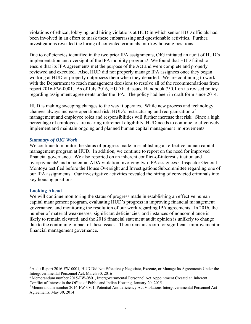violations of ethical, lobbying, and hiring violations at HUD in which senior HUD officials had been involved in an effort to mask these embarrassing and questionable activities. Further, investigations revealed the hiring of convicted criminals into key housing positions.

Due to deficiencies identified in the two prior IPA assignments, OIG initiated an audit of HUD's implementation and oversight of the IPA mobility program.<sup>5</sup> We found that HUD failed to ensure that its IPA agreements met the purpose of the Act and were complete and properly reviewed and executed. Also, HUD did not properly manage IPA assignees once they began working at HUD or properly outprocess them when they departed. We are continuing to work with the Department to reach management decisions to resolve all of the recommendations from report 2016-FW-0001. As of July 2016, HUD had issued Handbook 750.1 on its revised policy regarding assignment agreements under the IPA. The policy had been in draft form since 2014.

HUD is making sweeping changes to the way it operates. While new process and technology changes always increase operational risk, HUD's restructuring and reorganization of management and employee roles and responsibilities will further increase that risk. Since a high percentage of employees are nearing retirement eligibility, HUD needs to continue to effectively implement and maintain ongoing and planned human capital management improvements.

#### *Summary of OIG Work*

We continue to monitor the status of progress made in establishing an effective human capital management program at HUD. In addition, we continue to report on the need for improved financial governance. We also reported on an inherent conflict-of-interest situation and overpayments<sup>6</sup> and a potential ADA violation involving two IPA assignees.<sup>7</sup> Inspector General Montoya testified before the House Oversight and Investigations Subcommittee regarding one of our IPA assignments. Our investigative activities revealed the hiring of convicted criminals into key housing positions.

# **Looking Ahead**

We will continue monitoring the status of progress made in establishing an effective human capital management program, evaluating HUD's progress in improving financial management governance, and monitoring the resolution of our work regarding IPA agreements. In 2016, the number of material weaknesses, significant deficiencies, and instances of noncompliance is likely to remain elevated, and the 2016 financial statement audit opinion is unlikely to change due to the continuing impact of these issues. There remains room for significant improvement in financial management governance.

<sup>5</sup> Audit Report 2016-FW-0001, HUD Did Not Effectively Negotiate, Execute, or Manage Its Agreements Under the Intergovernmental Personnel Act, March 30, 2016

<sup>6</sup> Memorandum number 2015-FW-0801, Intergovernmental Personnel Act Appointment Created an Inherent Conflict of Interest in the Office of Public and Indian Housing, January 20, 2015<br><sup>7</sup> Memorandum number 2014-FW-0801, Potential Antideficiency Act Violations Intergovernmental Personnel Act

Agreements, May 30, 2014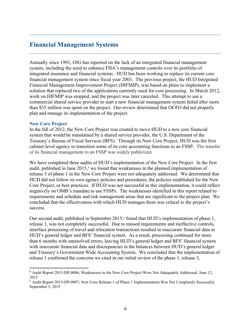# **Financial Management Systems**

Annually since 1991, OIG has reported on the lack of an integrated financial management system, including the need to enhance FHA's management controls over its portfolio of integrated insurance and financial systems. HUD has been working to replace its current core financial management system since fiscal year 2003. The previous project, the HUD Integrated Financial Management Improvement Project (HIFMIP), was based on plans to implement a solution that replaced two of the applications currently used for core processing. In March 2012, work on HIFMIP was stopped, and the project was later canceled. This attempt to use a commercial shared service provider to start a new financial management system failed after more than \$35 million was spent on the project. Our review determined that OCFO did not properly plan and manage its implementation of the project.

#### **New Core Project**

In the fall of 2012, the New Core Project was created to move HUD to a new core financial system that would be maintained by a shared service provider, the U.S. Department of the Treasury's Bureau of Fiscal Services (BFS). Through its New Core Project, HUD was the first cabinet-level agency to transition some of its core accounting functions to an FSSP. The transfer of its financial management to an FSSP was widely publicized.

We have completed three audits of HUD's implementation of the New Core Project. In the first audit, published in June 2015,<sup>8</sup> we found that weaknesses in the planned implementation of release 3 of phase 1 in the New Core Project were not adequately addressed. We determined that HUD did not follow its own agency policies and procedures, the policies established for the New Core Project, or best practices. If HUD was not successful in this implementation, it could reflect negatively on OMB's mandate to use FSSPs. The weaknesses identified in this report related to requirements and schedule and risk management areas that are significant to the project plan. We concluded that the effectiveness with which HUD manages them was critical to the project's success.

Our second audit, published in September 2015,<sup>9</sup> found that HUD's implementation of phase 1, release 1, was not completely successful. Due to missed requirements and ineffective controls, interface processing of travel and relocation transactions resulted in inaccurate financial data in HUD's general ledger and BFS' financial system. As a result, processing continued for more than 6 months with unresolved errors, leaving HUD's general ledger and BFS' financial system with inaccurate financial data and discrepancies in the balances between HUD's general ledger and Treasury's Government Wide Accounting System. We concluded that the implementation of release 1 confirmed the concerns we cited in our initial review of the phase 1, release 3,

<sup>8</sup> Audit Report 2015-DP-0006, Weaknesses in the New Core Project Were Not Adequately Addressed, June 12, 2015

<sup>&</sup>lt;sup>9</sup> Audit Report 2015-DP-0007, New Core Release 1 of Phase 1 Implementation Was Not Completely Successful, September 3, 2015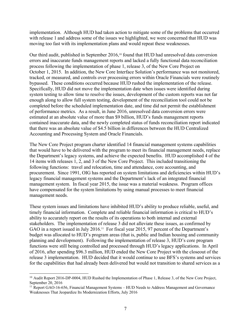implementation. Although HUD had taken action to mitigate some of the problems that occurred with release 1 and address some of the issues we highlighted, we were concerned that HUD was moving too fast with its implementation plans and would repeat these weaknesses.

Our third audit, published in September 2016,<sup>10</sup> found that HUD had unresolved data conversion errors and inaccurate funds management reports and lacked a fully functional data reconciliation process following the implementation of phase 1, release 3, of the New Core Project on October 1, 2015. In addition, the New Core Interface Solution's performance was not monitored, tracked, or measured, and controls over processing errors within Oracle Financials were routinely bypassed. These conditions occurred because HUD rushed the implementation of the release. Specifically, HUD did not move the implementation date when issues were identified during system testing to allow time to resolve the issues, development of the custom reports was not far enough along to allow full system testing, development of the reconciliation tool could not be completed before the scheduled implementation date, and time did not permit the establishment of performance metrics. As a result, in June 2016, unresolved data conversion errors were estimated at an absolute value of more than \$9 billion, HUD's funds management reports contained inaccurate data, and the newly completed status of funds reconciliation report indicated that there was an absolute value of \$4.5 billion in differences between the HUD Centralized Accounting and Processing System and Oracle Financials.

The New Core Project program charter identified 14 financial management systems capabilities that would have to be delivered with the program to meet its financial management needs, replace the Department's legacy systems, and achieve the expected benefits. HUD accomplished 4 of the 14 items with releases 1, 2, and 3 of the New Core Project. This included transitioning the following functions: travel and relocation, time and attendance, core accounting, and procurement. Since 1991, OIG has reported on system limitations and deficiencies within HUD's legacy financial management systems and the Department's lack of an integrated financial management system. In fiscal year 2015, the issue was a material weakness. Program offices have compensated for the system limitations by using manual processes to meet financial management needs.

These system issues and limitations have inhibited HUD's ability to produce reliable, useful, and timely financial information. Complete and reliable financial information is critical to HUD's ability to accurately report on the results of its operations to both internal and external stakeholders. The implementation of release 3 did not alleviate these issues, as confirmed by GAO in a report issued in July 2016.<sup>11</sup> For fiscal year 2015, 97 percent of the Department's budget was allocated to HUD's program areas (that is, public and Indian housing and community planning and development). Following the implementation of release 3, HUD's core program functions were still being controlled and processed through HUD's legacy applications. In April of 2016, after spending \$96.3 million, HUD ended the New Core Project with the closeout of the release 3 implementation. HUD decided that it would continue to use BFS's systems and services for the capabilities that had already been delivered but would not transition to shared services as a

<sup>&</sup>lt;sup>10</sup> Audit Report 2016-DP-0004, HUD Rushed the Implementation of Phase 1, Release 3, of the New Core Project, September 20, 2016

<sup>&</sup>lt;sup>11</sup> Report GAO-16-656, Financial Management Systems - HUD Needs to Address Management and Governance Weaknesses That Jeopardize Its Modernization Efforts, July 2016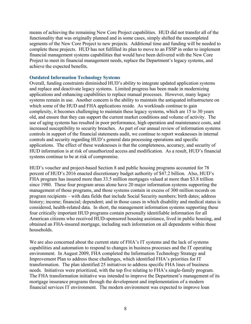means of achieving the remaining New Core Project capabilities. HUD did not transfer all of the functionality that was originally planned and in some cases, simply shifted the uncompleted segments of the New Core Project to new projects. Additional time and funding will be needed to complete these projects. HUD has not fulfilled its plan to move to an FSSP in order to implement financial management systems capabilities that would have been delivered with the New Core Project to meet its financial management needs, replace the Department's legacy systems, and achieve the expected benefits.

# **Outdated Information Technology Systems**

Overall, funding constraints diminished HUD's ability to integrate updated application systems and replace and deactivate legacy systems. Limited progress has been made in modernizing applications and enhancing capabilities to replace manual processes. However, many legacy systems remain in use. Another concern is the ability to maintain the antiquated infrastructure on which some of the HUD and FHA applications reside. As workloads continue to gain complexity, it becomes challenging to maintain these legacy systems, which are 15 to 30 years old, and ensure that they can support the current market conditions and volume of activity. The use of aging systems has resulted in poor performance, high operation and maintenance costs, and increased susceptibility to security breaches. As part of our annual review of information systems controls in support of the financial statements audit, we continue to report weaknesses in internal controls and security regarding HUD's general data processing operations and specific applications. The effect of these weaknesses is that the completeness, accuracy, and security of HUD information is at risk of unauthorized access and modification. As a result, HUD's financial systems continue to be at risk of compromise.

HUD's voucher and project-based Section 8 and public housing programs accounted for 78 percent of HUD's 2016 enacted discretionary budget authority of \$47.2 billion. Also, HUD's FHA program has insured more than 33.5 million mortgages valued at more than \$3.8 trillion since 1980. These four program areas alone have 20 major information systems supporting the management of those programs, and those systems contain in excess of 300 million records on program recipients – with data fields that include Social Security numbers; birth dates; address history; income; financial; dependent; and in those cases in which disability and medical status is considered, health-related data. In short, the management information systems supporting these four critically important HUD programs contain personally identifiable information for all American citizens who received HUD-sponsored housing assistance, lived in public housing, and obtained an FHA-insured mortgage, including such information on all dependents within those households.

We are also concerned about the current state of FHA's IT systems and the lack of systems capabilities and automation to respond to changes in business processes and the IT operating environment. In August 2009, FHA completed the Information Technology Strategy and Improvement Plan to address these challenges, which identified FHA's priorities for IT transformation. The plan identified 25 initiatives to address specific FHA lines of business needs. Initiatives were prioritized, with the top five relating to FHA's single-family program. The FHA transformation initiative was intended to improve the Department's management of its mortgage insurance programs through the development and implementation of a modern financial services IT environment. The modern environment was expected to improve loan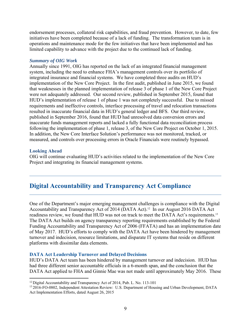endorsement processes, collateral risk capabilities, and fraud prevention. However, to date, few initiatives have been completed because of a lack of funding. The transformation team is in operations and maintenance mode for the few initiatives that have been implemented and has limited capability to advance with the project due to the continued lack of funding.

#### *Summary of OIG Work*

Annually since 1991, OIG has reported on the lack of an integrated financial management system, including the need to enhance FHA's management controls over its portfolio of integrated insurance and financial systems. We have completed three audits on HUD's implementation of the New Core Project. In the first audit, published in June 2015, we found that weaknesses in the planned implementation of release 3 of phase 1 of the New Core Project were not adequately addressed. Our second review, published in September 2015, found that HUD's implementation of release 1 of phase 1 was not completely successful. Due to missed requirements and ineffective controls, interface processing of travel and relocation transactions resulted in inaccurate financial data in HUD's general ledger and BFS. Our third review, published in September 2016, found that HUD had unresolved data conversion errors and inaccurate funds management reports and lacked a fully functional data reconciliation process following the implementation of phase 1, release 3, of the New Core Project on October 1, 2015. In addition, the New Core Interface Solution's performance was not monitored, tracked, or measured, and controls over processing errors in Oracle Financials were routinely bypassed.

#### **Looking Ahead**

OIG will continue evaluating HUD's activities related to the implementation of the New Core Project and integrating its financial management systems.

# **Digital Accountability and Transparency Act Compliance**

One of the Department's major emerging management challenges is compliance with the Digital Accountability and Transparency Act of 2014 (DATA Act).<sup>12</sup> In our August 2016 DATA Act readiness review, we found that HUD was not on track to meet the DATA Act's requirements.13 The DATA Act builds on agency transparency reporting requirements established by the Federal Funding Accountability and Transparency Act of 2006 (FFATA) and has an implementation date of May 2017. HUD's efforts to comply with the DATA Act have been hindered by management turnover and indecision, resource limitations, and disparate IT systems that reside on different platforms with dissimilar data elements.

# **DATA Act Leadership Turnover and Delayed Decisions**

HUD's DATA Act team has been hindered by management turnover and indecision. HUD has had three different senior accountable officials in a 6-month span, and the conclusion that the DATA Act applied to FHA and Ginnie Mae was not made until approximately May 2016. These

<sup>&</sup>lt;sup>12</sup> Digital Accountability and Transparency Act of 2014, Pub. L. No. 113-101

<sup>13 2016-</sup>FO-0802, Independent Attestation Review: U.S. Department of Housing and Urban Development, DATA Act Implementation Efforts, dated August 26, 2015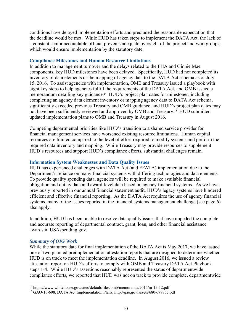conditions have delayed implementation efforts and precluded the reasonable expectation that the deadline would be met. While HUD has taken steps to implement the DATA Act, the lack of a constant senior accountable official prevents adequate oversight of the project and workgroups, which would ensure implementation by the statutory date.

### **Compliance Milestones and Human Resource Limitations**

In addition to management turnover and the delays related to the FHA and Ginnie Mae components, key HUD milestones have been delayed. Specifically, HUD had not completed its inventory of data elements or the mapping of agency data to the DATA Act schema as of July 15, 2016. To assist agencies with implementation, OMB and Treasury issued a playbook with eight key steps to help agencies fulfill the requirements of the DATA Act, and OMB issued a memorandum detailing key guidance.<sup>14</sup> HUD's project plan dates for milestones, including completing an agency data element inventory or mapping agency data to DATA Act schema, significantly exceeded previous Treasury and OMB guidance, and HUD's project plan dates may not have been sufficiently reviewed and approved by OMB and Treasury.15 HUD submitted updated implementation plans to OMB and Treasury in August 2016.

Competing departmental priorities like HUD's transition to a shared service provider for financial management services have worsened existing resource limitations. Human capital resources are limited compared to the level of effort required to modify systems and perform the required data inventory and mapping. While Treasury may provide resources to supplement HUD's resources and support HUD's compliance efforts, substantial challenges remain.

#### **Information System Weaknesses and Data Quality Issues**

HUD has experienced challenges with DATA Act (and FFATA) implementation due to the Department's reliance on many financial systems with differing technologies and data elements. To provide quality spending data, agencies will be required to make available financial obligation and outlay data and award-level data based on agency financial systems. As we have previously reported in our annual financial statement audit, HUD's legacy systems have hindered efficient and effective financial reporting. As the DATA Act requires the use of agency financial systems, many of the issues reported in the financial systems management challenge (see page 6) also apply.

In addition, HUD has been unable to resolve data quality issues that have impeded the complete and accurate reporting of departmental contract, grant, loan, and other financial assistance awards in USAspending.gov.

#### *Summary of OIG Work*

While the statutory date for final implementation of the DATA Act is May 2017, we have issued one of two planned preimplementation attestation reports that are designed to determine whether HUD is on track to meet the implementation deadline. In August 2016, we issued a review attestation report on HUD's efforts to comply with OMB and Treasury DATA Act Playbook steps 1-4. While HUD's assertions reasonably represented the status of departmentwide compliance efforts, we reported that HUD was not on track to provide complete, departmentwide

<sup>14</sup> https://www.whitehouse.gov/sites/default/files/omb/memoranda/2015/m-15-12.pdf

<sup>&</sup>lt;sup>15</sup> GAO-16-698, DATA Act Implementation Plans, http://gao.gov/assets/680/678765.pdf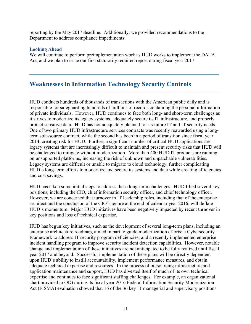reporting by the May 2017 deadline. Additionally, we provided recommendations to the Department to address compliance impediments.

# **Looking Ahead**

We will continue to perform preimplementation work as HUD works to implement the DATA Act, and we plan to issue our first statutorily required report during fiscal year 2017.

# **Weaknesses in Information Technology Security Controls**

HUD conducts hundreds of thousands of transactions with the American public daily and is responsible for safeguarding hundreds of millions of records containing the personal information of private individuals. However, HUD continues to face both long- and short-term challenges as it strives to modernize its legacy systems, adequately secure its IT infrastructure, and properly protect sensitive data. HUD has not adequately planned for its future IT and IT security needs. One of two primary HUD infrastructure services contracts was recently reawarded using a longterm sole-source contract, while the second has been in a period of transition since fiscal year 2014, creating risk for HUD. Further, a significant number of critical HUD applications are legacy systems that are increasingly difficult to maintain and present security risks that HUD will be challenged to mitigate without modernization. More than 400 HUD IT products are running on unsupported platforms, increasing the risk of unknown and unpatchable vulnerabilities. Legacy systems are difficult or unable to migrate to cloud technology, further complicating HUD's long-term efforts to modernize and secure its systems and data while creating efficiencies and cost savings.

HUD has taken some initial steps to address these long-term challenges. HUD filled several key positions, including the CIO, chief information security officer, and chief technology officer. However, we are concerned that turnover in IT leadership roles, including that of the enterprise architect and the conclusion of the CIO's tenure at the end of calendar year 2016, will deflate HUD's momentum. Major HUD initiatives have been negatively impacted by recent turnover in key positions and loss of technical expertise.

HUD has begun key initiatives, such as the development of several long-term plans, including an enterprise architecture roadmap, aimed in part to guide modernization efforts; a Cybersecurity Framework to address IT security program deficiencies; and a recently implemented enterprise incident handling program to improve security incident detection capabilities. However, notable change and implementation of these initiatives are not anticipated to be fully realized until fiscal year 2017 and beyond. Successful implementation of these plans will be directly dependent upon HUD's ability to instill accountability, implement performance measures, and obtain adequate technical expertise and resources. In the process of outsourcing infrastructure and application maintenance and support, HUD has divested itself of much of its own technical expertise and continues to face significant staffing challenges. For example, an organizational chart provided to OIG during its fiscal year 2016 Federal Information Security Modernization Act (FISMA) evaluation showed that 16 of the 36 key IT managerial and supervisory positions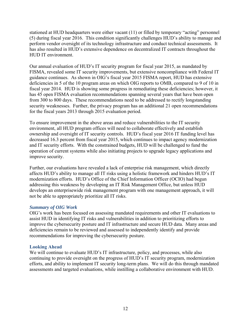stationed at HUD headquarters were either vacant (11) or filled by temporary "acting" personnel (5) during fiscal year 2016. This condition significantly challenges HUD's ability to manage and perform vendor oversight of its technology infrastructure and conduct technical assessments. It has also resulted in HUD's extensive dependence on decentralized IT contracts throughout the HUD IT environment.

Our annual evaluation of HUD's IT security program for fiscal year 2015, as mandated by FISMA, revealed some IT security improvements, but extensive noncompliance with Federal IT guidance continues. As shown in OIG's fiscal year 2015 FISMA report, HUD has extensive deficiencies in 5 of the 10 program areas on which OIG reports to OMB, compared to 9 of 10 in fiscal year 2014. HUD is showing some progress in remediating these deficiencies; however, it has 45 open FISMA evaluation recommendations spanning several years that have been open from 300 to 800 days. These recommendations need to be addressed to rectify longstanding security weaknesses. Further, the privacy program has an additional 21 open recommendations for the fiscal years 2013 through 2015 evaluation period.

To ensure improvement in the above areas and reduce vulnerabilities to the IT security environment, all HUD program offices will need to collaborate effectively and establish ownership and oversight of IT security controls. HUD's fiscal year 2016 IT funding level has decreased 16.3 percent from fiscal year 2015, which continues to impact agency modernization and IT security efforts. With the constrained budgets, HUD will be challenged to fund the operation of current systems while also initiating projects to upgrade legacy applications and improve security.

Further, our evaluations have revealed a lack of enterprise risk management, which directly affects HUD's ability to manage all IT risks using a holistic framework and hinders HUD's IT modernization efforts. HUD's Office of the Chief Information Officer (OCIO) had begun addressing this weakness by developing an IT Risk Management Office, but unless HUD develops an enterprisewide risk management program with one management approach, it will not be able to appropriately prioritize all IT risks.

# *Summary of OIG Work*

OIG's work has been focused on assessing mandated requirements and other IT evaluations to assist HUD in identifying IT risks and vulnerabilities in addition to prioritizing efforts to improve the cybersecurity posture and IT infrastructure and secure HUD data. Many areas and deficiencies remain to be reviewed and assessed to independently identify and provide recommendations for improving the cybersecurity posture.

# **Looking Ahead**

We will continue to evaluate HUD's IT infrastructure, policy, and processes, while also continuing to provide oversight on the progress of HUD's IT security program, modernization efforts, and ability to implement IT security long-term plans. We will do this through mandated assessments and targeted evaluations, while instilling a collaborative environment with HUD.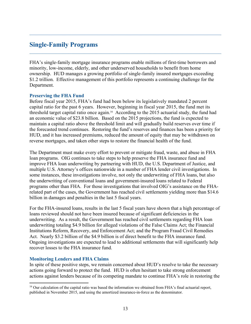# **Single-Family Programs**

FHA's single-family mortgage insurance programs enable millions of first-time borrowers and minority, low-income, elderly, and other underserved households to benefit from home ownership. HUD manages a growing portfolio of single-family insured mortgages exceeding \$1.2 trillion. Effective management of this portfolio represents a continuing challenge for the Department.

#### **Preserving the FHA Fund**

Before fiscal year 2015, FHA's fund had been below its legislatively mandated 2 percent capital ratio for the past 6 years. However, beginning in fiscal year 2015, the fund met its threshold target capital ratio once again.16 According to the 2015 actuarial study, the fund had an economic value of \$23.8 billion. Based on the 2015 projections, the fund is expected to maintain a capital ratio above the threshold limit and will gradually build reserves over time if the forecasted trend continues. Restoring the fund's reserves and finances has been a priority for HUD, and it has increased premiums, reduced the amount of equity that may be withdrawn on reverse mortgages, and taken other steps to restore the financial health of the fund.

The Department must make every effort to prevent or mitigate fraud, waste, and abuse in FHA loan programs. OIG continues to take steps to help preserve the FHA insurance fund and improve FHA loan underwriting by partnering with HUD, the U.S. Department of Justice, and multiple U.S. Attorney's offices nationwide in a number of FHA lender civil investigations. In some instances, these investigations involve, not only the underwriting of FHA loans, but also the underwriting of conventional loans and government-insured loans related to Federal programs other than FHA. For those investigations that involved OIG's assistance on the FHArelated part of the cases, the Government has reached civil settlements yielding more than \$14.6 billion in damages and penalties in the last 5 fiscal years.

For the FHA-insured loans, results in the last 5 fiscal years have shown that a high percentage of loans reviewed should not have been insured because of significant deficiencies in the underwriting. As a result, the Government has reached civil settlements regarding FHA loan underwriting totaling \$4.9 billion for alleged violations of the False Claims Act; the Financial Institutions Reform, Recovery, and Enforcement Act; and the Program Fraud Civil Remedies Act. Nearly \$3.2 billion of the \$4.9 billion is of direct benefit to the FHA insurance fund. Ongoing investigations are expected to lead to additional settlements that will significantly help recover losses to the FHA insurance fund.

# **Monitoring Lenders and FHA Claims**

In spite of these positive steps, we remain concerned about HUD's resolve to take the necessary actions going forward to protect the fund. HUD is often hesitant to take strong enforcement actions against lenders because of its competing mandate to continue FHA's role in restoring the

<sup>&</sup>lt;sup>16</sup> Our calculation of the capital ratio was based the information we obtained from FHA's final actuarial report, published in November 2015, and using the amortized insurance-in-force as the denominator.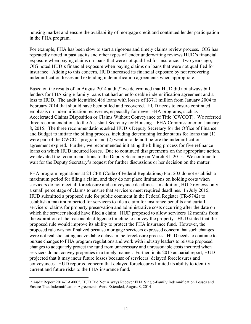housing market and ensure the availability of mortgage credit and continued lender participation in the FHA program.

For example, FHA has been slow to start a rigorous and timely claims review process. OIG has repeatedly noted in past audits and other types of lender underwriting reviews HUD's financial exposure when paying claims on loans that were not qualified for insurance. Two years ago, OIG noted HUD's financial exposure when paying claims on loans that were not qualified for insurance. Adding to this concern, HUD increased its financial exposure by not recovering indemnification losses and extending indemnification agreements when appropriate.

Based on the results of an August 2014 audit,<sup>17</sup> we determined that HUD did not always bill lenders for FHA single-family loans that had an enforceable indemnification agreement and a loss to HUD. The audit identified 486 loans with losses of \$37.1 million from January 2004 to February 2014 that should have been billed and recovered. HUD needs to ensure continued emphasis on indemnification recoveries, especially for newer FHA programs, such as Accelerated Claims Disposition or Claims Without Conveyance of Title (CWCOT). We referred three recommendations to the Assistant Secretary for Housing – FHA Commissioner on January 8, 2015. The three recommendations asked HUD's Deputy Secretary for the Office of Finance and Budget to initiate the billing process, including determining lender status for loans that (1) were part of the CWCOT program and (2) went into default before the indemnification agreement expired. Further, we recommended initiating the billing process for five refinance loans on which HUD incurred losses. Due to continued disagreements on the appropriate action, we elevated the recommendations to the Deputy Secretary on March 31, 2015. We continue to wait for the Deputy Secretary's request for further discussions or her decision on the matter.

FHA program regulations at 24 CFR (Code of Federal Regulations) Part 203 do not establish a maximum period for filing a claim, and they do not place limitations on holding costs when servicers do not meet all foreclosure and conveyance deadlines. In addition, HUD reviews only a small percentage of claims to ensure that servicers meet required deadlines. In July 2015, HUD submitted a proposed rule for public comment in the Federal Register (FR-5742) to establish a maximum period for servicers to file a claim for insurance benefits and curtail servicers' claims for property preservation and administrative costs occurring after the date on which the servicer should have filed a claim. HUD proposed to allow servicers 12 months from the expiration of the reasonable diligence timeline to convey the property. HUD stated that the proposed rule would improve its ability to protect the FHA insurance fund. However, the proposed rule was not finalized because mortgage servicers expressed concern that such changes were not realistic, citing unavoidable delays in the foreclosure process. HUD needs to continue to pursue changes to FHA program regulations and work with industry leaders to reissue proposed changes to adequately protect the fund from unnecessary and unreasonable costs incurred when servicers do not convey properties in a timely manner. Further, in its 2015 actuarial report, HUD projected that it may incur future losses because of servicers' delayed foreclosures and conveyances. HUD reported concern that delayed foreclosures limited its ability to identify current and future risks to the FHA insurance fund.

<sup>&</sup>lt;sup>17</sup> Audit Report 2014-LA-0005, HUD Did Not Always Recover FHA Single-Family Indemnification Losses and Ensure That Indemnification Agreements Were Extended, August 8, 2014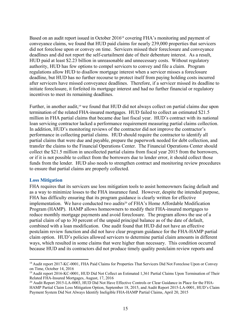Based on an audit report issued in October 2016<sup>18</sup> covering FHA's monitoring and payment of conveyance claims, we found that HUD paid claims for nearly 239,000 properties that servicers did not foreclose upon or convey on time. Servicers missed their foreclosure and conveyance deadlines and did not report the self-curtailment date of their debenture interest. As a result, HUD paid at least \$2.23 billion in unreasonable and unnecessary costs. Without regulatory authority, HUD has few options to compel servicers to convey and file a claim. Program regulations allow HUD to disallow mortgage interest when a servicer misses a foreclosure deadline, but HUD has no further recourse to protect itself from paying holding costs incurred after servicers have missed conveyance deadlines. Therefore, if a servicer missed its deadline to initiate foreclosure, it forfeited its mortgage interest and had no further financial or regulatory incentives to meet its remaining deadlines.

Further, in another audit,<sup>19</sup> we found that HUD did not always collect on partial claims due upon termination of the related FHA-insured mortgages. HUD failed to collect an estimated \$21.5 million in FHA partial claims that became due last fiscal year. HUD's contract with its national loan servicing contractor lacked a performance requirement measuring partial claims collection. In addition, HUD's monitoring reviews of the contractor did not improve the contractor's performance in collecting partial claims. HUD should require the contractor to identify all partial claims that were due and payable, prepare the paperwork needed for debt collection, and transfer the claims to the Financial Operations Center. The Financial Operations Center should collect the \$21.5 million in uncollected partial claims from fiscal year 2015 from the borrowers, or if it is not possible to collect from the borrowers due to lender error, it should collect those funds from the lender. HUD also needs to strengthen contract and monitoring review procedures to ensure that partial claims are properly collected.

#### **Loss Mitigation**

FHA requires that its servicers use loss mitigation tools to assist homeowners facing default and as a way to minimize losses to the FHA insurance fund. However, despite the intended purpose, FHA has difficulty ensuring that its program guidance is clearly written for effective implementation. We have conducted two audits<sup>20</sup> of FHA's Home Affordable Modification Program (HAMP). HAMP allows homeowners to modify their FHA-insured mortgages to reduce monthly mortgage payments and avoid foreclosure. The program allows the use of a partial claim of up to 30 percent of the unpaid principal balance as of the date of default, combined with a loan modification. One audit found that HUD did not have an effective postclaim review function and did not have clear program guidance for the FHA-HAMP partial claim option. HUD's policies allowed servicers to determine partial claim amounts in different ways, which resulted in some claims that were higher than necessary. This condition occurred because HUD and its contractors did not produce timely quality postclaim review reports and

<sup>&</sup>lt;sup>18</sup> Audit report 2017-KC-0001, FHA Paid Claims for Properties That Servicers Did Not Foreclose Upon or Convey on Time, October 14, 2016

<sup>&</sup>lt;sup>19</sup> Audit report 2016-KC-0001, HUD Did Not Collect an Estimated 1,361 Partial Claims Upon Termination of Their Related FHA-Insured Mortgages, August, 17, 2016

<sup>&</sup>lt;sup>20</sup> Audit Report 2015-LA-0003, HUD Did Not Have Effective Controls or Clear Guidance in Place for the FHA-HAMP Partial Claim Loss Mitigation Option, September 18, 2015, and Audit Report 2015-LA-0001, HUD's Claim Payment System Did Not Always Identify Ineligible FHA-HAMP Partial Claims, April 20, 2015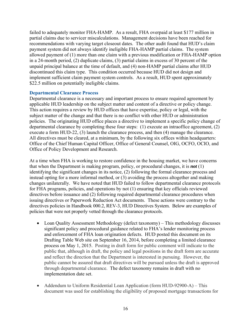failed to adequately monitor FHA-HAMP. As a result, FHA overpaid at least \$177 million in partial claims due to servicer miscalculations. Management decisions have been reached for recommendations with varying target closeout dates. The other audit found that HUD's claim payment system did not always identify ineligible FHA-HAMP partial claims. The system allowed payment of (1) more than one claim with a previous modification or FHA-HAMP option in a 24-month period, (2) duplicate claims, (3) partial claims in excess of 30 percent of the unpaid principal balance at the time of default, and (4) non-HAMP partial claims after HUD discontinued this claim type. This condition occurred because HUD did not design and implement sufficient claim payment system controls. As a result, HUD spent approximately \$22.5 million on potentially ineligible claims.

# **Departmental Clearance Process**

Departmental clearance is a necessary and important process to ensure required agreement by applicable HUD leadership on the subject matter and content of a directive or policy change. This action requires a review by HUD offices that have expertise, policy or legal, with the subject matter of the change and that there is no conflict with other HUD or administration policies. The originating HUD office places a directive to implement a specific policy change of departmental clearance by completing these four steps: (1) execute an intraoffice agreement, (2) execute a form HUD-22, (3) launch the clearance process, and then (4) manage the clearance. All directives must be cleared, at a minimum, by the following six offices within headquarters: Office of the Chief Human Capital Officer, Office of General Counsel, OIG, OCFO, OCIO, and Office of Policy Development and Research.

At a time when FHA is working to restore confidence in the housing market, we have concerns that when the Department is making program, policy, or procedural changes, it is *not* (1) identifying the significant changes in its notice, (2) following the formal clearance process and instead opting for a more informal method, or (3) avoiding the process altogether and making changes unilaterally. We have noted that HUD failed to follow departmental clearance protocols for FHA programs, policies, and operations by not (1) ensuring that key officials reviewed directives before issuance and (2) following required departmental clearance procedures when issuing directives or Paperwork Reduction Act documents. These actions were contrary to the directives policies in Handbook 000.2, REV-3, HUD Directives System. Below are examples of policies that were not properly vetted through the clearance protocols.

- Loan Quality Assessment Methodology (defect taxonomy) This methodology discusses significant policy and procedural guidance related to FHA's lender monitoring process and enforcement of FHA loan origination defects. HUD posted this document on its Drafting Table Web site on September 16, 2014, before completing a limited clearance process on May 1, 2015. Posting in draft form for public comment will indicate to the public that, although in draft, the policy and legal positions in the draft form are accurate and reflect the direction that the Department is interested in pursuing. However, the public cannot be assured that draft directives will be pursued unless the draft is approved through departmental clearance. The defect taxonomy remains in draft with no implementation date set.
- Addendum to Uniform Residential Loan Application (form HUD-92900-A) This document was used for establishing the eligibility of proposed mortgage transactions for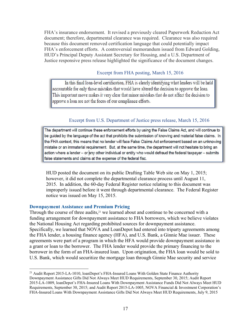FHA's insurance endorsement. It revised a previously cleared Paperwork Reduction Act document; therefore, departmental clearance was required. Clearance was also required because this document removed certification language that could potentially impact FHA's enforcement efforts. A controversial memorandum issued from Edward Golding, HUD's Principal Deputy Assistant Secretary for Housing, and a U.S. Department of Justice responsive press release highlighted the significance of the document changes.

### Excerpt from FHA posting, March 15, 2016

In this final loan-level certification, FHA is clearly identifying what lenders will be held accountable for only those mistakes that would have altered the decision to approve the loan. This important move makes it very clear that minor mistakes that do not affect the decision to approve a loan are not the focus of our compliance efforts.

# Excerpt from U.S. Department of Justice press release, March 15, 2016

The department will continue these enforcement efforts by using the False Claims Act, and will continue to be guided by the language of the act that prohibits the submission of knowing and material false claims. In the FHA context, this means that no lender will face False Claims Act enforcement based on an unknowing mistake or an immaterial requirement. But, at the same time, the department will not hesitate to bring an action where a lender - or any other individual or entity who would defraud the federal taxpayer - submits false statements and claims at the expense of the federal fisc.

HUD posted the document on its public Drafting Table Web site on May 1, 2015; however, it did not complete the departmental clearance process until August 11, 2015. In addition, the 60-day Federal Register notice relating to this document was improperly issued before it went through departmental clearance. The Federal Register notice was issued on May 15, 2015.

#### **Downpayment Assistance and Premium Pricing**

Through the course of three audits, $21$  we learned about and continue to be concerned with a funding arrangement for downpayment assistance to FHA borrowers, which we believe violates the National Housing Act regarding prohibited sources for downpayment assistance. Specifically, we learned that NOVA and LoanDepot had entered into triparty agreements among the FHA lender, a housing finance agency (HFA), and U.S. Bank, a Ginnie Mae issuer. These agreements were part of a program in which the HFA would provide downpayment assistance in a grant or loan to the borrower. The FHA lender would provide the primary financing to the borrower in the form of an FHA-insured loan. Upon origination, the FHA loan would be sold to U.S. Bank, which would securitize the mortgage loan through Ginnie Mae security and service

<sup>&</sup>lt;sup>21</sup> Audit Report 2015-LA-1010, loanDepot's FHA-Insured Loans With Golden State Finance Authority Downpayment Assistance Gifts Did Not Always Meet HUD Requirements, September 30, 2015; Audit Report 2015-LA-1009, loanDepot's FHA-Insured Loans With Downpayment Assistance Funds Did Not Always Meet HUD Requirements, September 30, 2015; and Audit Report 2015-LA-1005, NOVA Financial & Investment Corporation's FHA-Insured Loans With Downpayment Assistance Gifts Did Not Always Meet HUD Requirements, July 9, 2015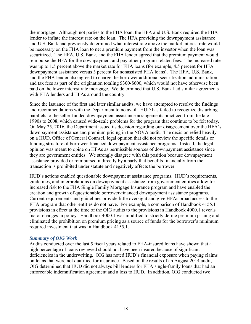the mortgage. Although not parties to the FHA loan, the HFA and U.S. Bank required the FHA lender to inflate the interest rate on the loan. The HFA providing the downpayment assistance and U.S. Bank had previously determined what interest rate above the market interest rate would be necessary on the FHA loan to net a premium payment from the investor when the loan was securitized. The HFA, U.S. Bank, and the FHA lender agreed that the premium payment would reimburse the HFA for the downpayment and pay other program-related fees. The increased rate was up to 1.5 percent above the market rate for FHA loans (for example, 4.5 percent for HFA downpayment assistance versus 3 percent for nonassisted FHA loans). The HFA, U.S. Bank, and the FHA lender also agreed to charge the borrower additional securitization, administration, and tax fees as part of the origination totaling \$300-\$600, which would not have otherwise been paid on the lower interest rate mortgage. We determined that U.S. Bank had similar agreements with FHA lenders and HFAs around the country.

Since the issuance of the first and later similar audits, we have attempted to resolve the findings and recommendations with the Department to no avail. HUD has failed to recognize disturbing parallels to the seller-funded downpayment assistance arrangements practiced from the late 1990s to 2008, which caused wide-scale problems for the program that continue to be felt today. On May 25, 2016, the Department issued its decision regarding our disagreement over the HFA's downpayment assistance and premium pricing in the NOVA audit. The decision relied heavily on a HUD, Office of General Counsel, legal opinion that did not review the specific details or funding structure of borrower-financed downpayment assistance programs. Instead, the legal opinion was meant to opine on HFAs as permissible sources of downpayment assistance since they are government entities. We strongly disagree with this position because downpayment assistance provided or reimbursed indirectly by a party that benefits financially from the transaction is prohibited under statute and negatively affects the borrower.

HUD's actions enabled questionable downpayment assistance programs. HUD's requirements, guidelines, and interpretations on downpayment assistance from government entities allow for increased risk to the FHA Single Family Mortgage Insurance program and have enabled the creation and growth of questionable borrower-financed downpayment assistance programs. Current requirements and guidelines provide little oversight and give HFAs broad access to the FHA program that other entities do not have. For example, a comparison of Handbook 4155.1 provisions in effect at the time of the OIG audits to the provisions in Handbook 4000.1 reveals major changes in policy. Handbook 4000.1 was modified to strictly define premium pricing and eliminated the prohibition on premium pricing as a source of funds for the borrower's minimum required investment that was in Handbook 4155.1.

# *Summary of OIG Work*

Audits conducted over the last 5 fiscal years related to FHA-insured loans have shown that a high percentage of loans reviewed should not have been insured because of significant deficiencies in the underwriting. OIG has noted HUD's financial exposure when paying claims on loans that were not qualified for insurance. Based on the results of an August 2014 audit, OIG determined that HUD did not always bill lenders for FHA single-family loans that had an enforceable indemnification agreement and a loss to HUD. In addition, OIG conducted two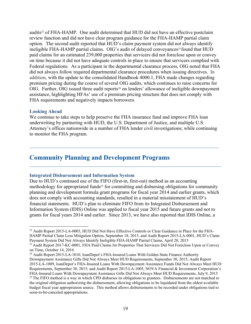audits22 of FHA-HAMP. One audit determined that HUD did not have an effective postclaim review function and did not have clear program guidance for the FHA-HAMP partial claim option. The second audit reported that HUD's claim payment system did not always identify ineligible FHA-HAMP partial claims. OIG's audit of delayed conveyances<sup>23</sup> found that HUD paid claims for an estimated 239,000 properties that servicers did not foreclose upon or convey on time because it did not have adequate controls in place to ensure that servicers complied with Federal regulations. As a participant in the departmental clearance process, OIG noted that FHA did not always follow required departmental clearance procedures when issuing directives. In addition, with the update to the consolidated Handbook 4000.1, FHA made changes regarding premium pricing during the course of several OIG audits, which continues to raise concerns for OIG. Further, OIG issued three audit reports<sup>24</sup> on lenders' allowance of ineligible downpayment assistance, highlighting HFAs' use of a premium pricing structure that does not comply with FHA requirements and negatively impacts borrowers.

#### **Looking Ahead**

We continue to take steps to help preserve the FHA insurance fund and improve FHA loan underwriting by partnering with HUD, the U.S. Department of Justice, and multiple U.S. Attorney's offices nationwide in a number of FHA lender civil investigations; while continuing to monitor the FHA program.

# **Community Planning and Development Programs**

#### **Integrated Disbursement and Information System**

Due to HUD's continued use of the FIFO (first-in, first-out) method as an accounting methodology for appropriated funds<sup>25</sup> for committing and disbursing obligations for community planning and development formula grant programs for fiscal year 2014 and earlier grants, which does not comply with accounting standards, resulted in a material misstatement of HUD's financial statements. HUD's plan to eliminate FIFO from its Integrated Disbursement and Information System (IDIS) Online was applied to fiscal year 2015 and future grants and not to grants for fiscal years 2014 and earlier. Since 2013, we have also reported that IDIS Online, a

<sup>24</sup> Audit Report 2015-LA-1010, loanDepot's FHA-Insured Loans With Golden State Finance Authority

<sup>&</sup>lt;sup>22</sup> Audit Report 2015-LA-0003, HUD Did Not Have Effective Controls or Clear Guidance in Place for the FHA-HAMP Partial Claim Loss Mitigation Option, September 18, 2015, and Audit Report 2015-LA-0001, HUD's Claim Payment System Did Not Always Identify Ineligible FHA-HAMP Partial Claims, April 20, 2015

<sup>&</sup>lt;sup>23</sup> Audit Report 2017-KC-0001, FHA Paid Claims for Properties That Servicers Did Not Foreclose Upon or Convey on Time, October 14, 2016

Downpayment Assistance Gifts Did Not Always Meet HUD Requirements, September 30, 2015; Audit Report 2015-LA-1009, loanDepot's FHA-Insured Loans With Downpayment Assistance Funds Did Not Always Meet HUD Requirements, September 30, 2015; and Audit Report 2015-LA-1005, NOVA Financial & Investment Corporation's FHA-Insured Loans With Downpayment Assistance Gifts Did Not Always Meet HUD Requirements, July 9, 2015  $25$  The FIFO method is a way in which CPD disburses its obligations to grantees. Disbursements are not matched to the original obligation authorizing the disbursement, allowing obligations to be liquidated from the oldest available budget fiscal year appropriation source. This method allows disbursements to be recorded under obligations tied to soon-to-be-canceled appropriations.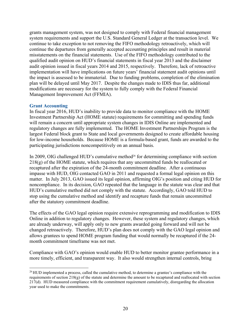grants management system, was not designed to comply with Federal financial management system requirements and support the U.S. Standard General Ledger at the transaction level. We continue to take exception to not removing the FIFO methodology retroactively, which will continue the departures from generally accepted accounting principles and result in material misstatements on the financial statements. Use of the FIFO methodology contributed to the qualified audit opinion on HUD's financial statements in fiscal year 2013 and the disclaimer audit opinion issued in fiscal years 2014 and 2015, respectively. Therefore, lack of retroactive implementation will have implications on future years' financial statement audit opinions until the impact is assessed to be immaterial. Due to funding problems, completion of the elimination plan will be delayed until May 2017. Despite the changes made to IDIS thus far, additional modifications are necessary for the system to fully comply with the Federal Financial Management Improvement Act (FFMIA).

#### **Grant Accounting**

In fiscal year 2016, HUD's inability to provide data to monitor compliance with the HOME Investment Partnership Act (HOME statute) requirements for committing and spending funds will remain a concern until appropriate system changes in IDIS Online are implemented and regulatory changes are fully implemented. The HOME Investment Partnerships Program is the largest Federal block grant to State and local governments designed to create affordable housing for low-income households. Because HOME is a formula-based grant, funds are awarded to the participating jurisdictions noncompetitively on an annual basis.

In 2009, OIG challenged HUD's cumulative method<sup>26</sup> for determining compliance with section 218(g) of the HOME statute, which requires that any uncommitted funds be reallocated or recaptured after the expiration of the 24-month commitment deadline. After a continuous impasse with HUD, OIG contacted GAO in 2011 and requested a formal legal opinion on this matter. In July 2013, GAO issued its legal opinion, affirming OIG's position and citing HUD for noncompliance. In its decision, GAO repeated that the language in the statute was clear and that HUD's cumulative method did not comply with the statute. Accordingly, GAO told HUD to stop using the cumulative method and identify and recapture funds that remain uncommitted after the statutory commitment deadline.

The effects of the GAO legal opinion require extensive reprogramming and modification to IDIS Online in addition to regulatory changes. However, these system and regulatory changes, which are already underway, will apply only to new grants awarded going forward and will not be changed retroactively. Therefore, HUD's plan does not comply with the GAO legal opinion and allows grantees to spend HOME program funding that would normally be recaptured if the 24 month commitment timeframe was not met.

Compliance with GAO's opinion would enable HUD to better monitor grantee performance in a more timely, efficient, and transparent way. It also would strengthen internal controls, bring

<sup>&</sup>lt;sup>26</sup> HUD implemented a process, called the cumulative method, to determine a grantee's compliance with the requirements of section 218(g) of the statute and determine the amount to be recaptured and reallocated with section 217(d). HUD measured compliance with the commitment requirement cumulatively, disregarding the allocation year used to make the commitments.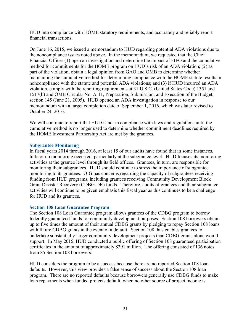HUD into compliance with HOME statutory requirements, and accurately and reliably report financial transactions.

On June 16, 2015, we issued a memorandum to HUD regarding potential ADA violations due to the noncompliance issues noted above. In the memorandum, we requested that the Chief Financial Officer (1) open an investigation and determine the impact of FIFO and the cumulative method for commitments for the HOME program on HUD's risk of an ADA violation; (2) as part of the violation, obtain a legal opinion from GAO and OMB to determine whether maintaining the cumulative method for determining compliance with the HOME statute results in noncompliance with the statute and potential ADA violations; and (3) if HUD incurred an ADA violation, comply with the reporting requirements at 31 U.S.C. (United States Code) 1351 and 1517(b) and OMB Circular No. A-11, Preparation, Submission, and Execution of the Budget, section 145 (June 21, 2005). HUD opened an ADA investigation in response to our memorandum with a target completion date of September 1, 2016, which was later revised to October 24, 2016.

We will continue to report that HUD is not in compliance with laws and regulations until the cumulative method is no longer used to determine whether commitment deadlines required by the HOME Investment Partnership Act are met by the grantees.

# **Subgrantee Monitoring**

In fiscal years 2014 through 2016, at least 15 of our audits have found that in some instances, little or no monitoring occurred, particularly at the subgrantee level. HUD focuses its monitoring activities at the grantee level through its field offices. Grantees, in turn, are responsible for monitoring their subgrantees. HUD should continue to stress the importance of subgrantee monitoring to its grantees. OIG has concerns regarding the capacity of subgrantees receiving funding from HUD programs, including grantees receiving Community Development Block Grant Disaster Recovery (CDBG-DR) funds. Therefore, audits of grantees and their subgrantee activities will continue to be given emphasis this fiscal year as this continues to be a challenge for HUD and its grantees.

# **Section 108 Loan Guarantee Program**

The Section 108 Loan Guarantee program allows grantees of the CDBG program to borrow federally guaranteed funds for community development purposes. Section 108 borrowers obtain up to five times the amount of their annual CDBG grants by pledging to repay Section 108 loans with future CDBG grants in the event of a default. Section 108 thus enables grantees to undertake substantially larger community development projects than CDBG grants alone would support. In May 2015, HUD conducted a public offering of Section 108 guaranteed participation certificates in the amount of approximately \$391 million. The offering consisted of 136 notes from 85 Section 108 borrowers.

HUD considers the program to be a success because there are no reported Section 108 loan defaults. However, this view provides a false sense of success about the Section 108 loan program. There are no reported defaults because borrowers generally use CDBG funds to make loan repayments when funded projects default, when no other source of project income is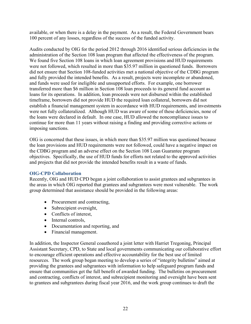available, or when there is a delay in the payment. As a result, the Federal Government bears 100 percent of any losses, regardless of the success of the funded activity.

Audits conducted by OIG for the period 2012 through 2016 identified serious deficiencies in the administration of the Section 108 loan program that affected the effectiveness of the program. We found five Section 108 loans in which loan agreement provisions and HUD requirements were not followed, which resulted in more than \$35.97 million in questioned funds. Borrowers did not ensure that Section 108-funded activities met a national objective of the CDBG program and fully provided the intended benefits. As a result, projects were incomplete or abandoned, and funds were used for ineligible and unsupported efforts. For example, one borrower transferred more than \$6 million in Section 108 loan proceeds to its general fund account as loans for its operations. In addition, loan proceeds were not disbursed within the established timeframe, borrowers did not provide HUD the required loan collateral, borrowers did not establish a financial management system in accordance with HUD requirements, and investments were not fully collateralized. Although HUD was aware of some of these deficiencies, none of the loans were declared in default. In one case, HUD allowed the noncompliance issues to continue for more than 11 years without raising a finding and providing corrective actions or imposing sanctions.

OIG is concerned that these issues, in which more than \$35.97 million was questioned because the loan provisions and HUD requirements were not followed, could have a negative impact on the CDBG program and an adverse effect on the Section 108 Loan Guarantee program objectives. Specifically, the use of HUD funds for efforts not related to the approved activities and projects that did not provide the intended benefits result in a waste of funds.

# **OIG-CPD Collaboration**

Recently, OIG and HUD CPD began a joint collaboration to assist grantees and subgrantees in the areas in which OIG reported that grantees and subgrantees were most vulnerable. The work group determined that assistance should be provided in the following areas:

- Procurement and contracting,
- Subrecipient oversight,
- Conflicts of interest,
- Internal controls,
- Documentation and reporting, and
- Financial management.

In addition, the Inspector General coauthored a joint letter with Harriet Tregoning, Principal Assistant Secretary, CPD, to State and local governments communicating our collaborative effort to encourage efficient operations and effective accountability for the best use of limited resources. The work group began meeting to develop a series of "integrity bulletins" aimed at providing the grantees and subgrantees with information to help safeguard program funds and ensure that communities get the full benefit of awarded funding. The bulletins on procurement and contracting, conflicts of interest, and subrecipient monitoring and oversight have been sent to grantees and subgrantees during fiscal year 2016, and the work group continues to draft the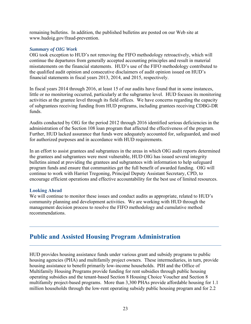remaining bulletins. In addition, the published bulletins are posted on our Web site at www.hudoig.gov/fraud-prevention.

# *Summary of OIG Work*

OIG took exception to HUD's not removing the FIFO methodology retroactively, which will continue the departures from generally accepted accounting principles and result in material misstatements on the financial statements. HUD's use of the FIFO methodology contributed to the qualified audit opinion and consecutive disclaimers of audit opinion issued on HUD's financial statements in fiscal years 2013, 2014, and 2015, respectively.

In fiscal years 2014 through 2016, at least 15 of our audits have found that in some instances, little or no monitoring occurred, particularly at the subgrantee level. HUD focuses its monitoring activities at the grantee level through its field offices. We have concerns regarding the capacity of subgrantees receiving funding from HUD programs, including grantees receiving CDBG-DR funds.

Audits conducted by OIG for the period 2012 through 2016 identified serious deficiencies in the administration of the Section 108 loan program that affected the effectiveness of the program. Further, HUD lacked assurance that funds were adequately accounted for, safeguarded, and used for authorized purposes and in accordance with HUD requirements.

In an effort to assist grantees and subgrantees in the areas in which OIG audit reports determined the grantees and subgrantees were most vulnerable, HUD OIG has issued several integrity bulletins aimed at providing the grantees and subgrantees with information to help safeguard program funds and ensure that communities get the full benefit of awarded funding. OIG will continue to work with Harriet Tregoning, Principal Deputy Assistant Secretary, CPD, to encourage efficient operations and effective accountability for the best use of limited resources.

# **Looking Ahead**

We will continue to monitor these issues and conduct audits as appropriate, related to HUD's community planning and development activities. We are working with HUD through the management decision process to resolve the FIFO methodology and cumulative method recommendations.

# **Public and Assisted Housing Program Administration**

HUD provides housing assistance funds under various grant and subsidy programs to public housing agencies (PHA) and multifamily project owners. These intermediaries, in turn, provide housing assistance to benefit primarily low-income households. PIH and the Office of Multifamily Housing Programs provide funding for rent subsidies through public housing operating subsidies and the tenant-based Section 8 Housing Choice Voucher and Section 8 multifamily project-based programs. More than 3,300 PHAs provide affordable housing for 1.1 million households through the low-rent operating subsidy public housing program and for 2.2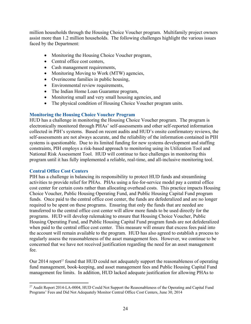million households through the Housing Choice Voucher program. Multifamily project owners assist more than 1.2 million households. The following challenges highlight the various issues faced by the Department:

- Monitoring the Housing Choice Voucher program,
- Central office cost centers,
- Cash management requirements,
- Monitoring Moving to Work (MTW) agencies,
- Overincome families in public housing,
- Environmental review requirements,
- The Indian Home Loan Guarantee program,
- Monitoring small and very small housing agencies, and
- The physical condition of Housing Choice Voucher program units.

# **Monitoring the Housing Choice Voucher Program**

HUD has a challenge in monitoring the Housing Choice Voucher program. The program is electronically monitored through PHAs' self-assessments and other self-reported information collected in PIH's systems. Based on recent audits and HUD's onsite confirmatory reviews, the self-assessments are not always accurate, and the reliability of the information contained in PIH systems is questionable. Due to its limited funding for new systems development and staffing constraints, PIH employs a risk-based approach to monitoring using its Utilization Tool and National Risk Assessment Tool. HUD will continue to face challenges in monitoring this program until it has fully implemented a reliable, real-time, and all-inclusive monitoring tool.

# **Central Office Cost Centers**

PIH has a challenge in balancing its responsibility to protect HUD funds and streamlining activities to provide relief for PHAs. PHAs using a fee-for-service model pay a central office cost center for certain costs rather than allocating overhead costs. This practice impacts Housing Choice Voucher, Public Housing Operating Fund, and Public Housing Capital Fund program funds. Once paid to the central office cost center, the funds are defederalized and are no longer required to be spent on these programs. Ensuring that only the funds that are needed are transferred to the central office cost center will allow more funds to be used directly for the programs. HUD will develop rulemaking to ensure that Housing Choice Voucher, Public Housing Operating Fund, and Public Housing Capital Fund program funds are not defederalized when paid to the central office cost center. This measure will ensure that excess fees paid into the account will remain available to the program. HUD has also agreed to establish a process to regularly assess the reasonableness of the asset management fees. However, we continue to be concerned that we have not received justification regarding the need for an asset management fee.

Our 2014 report<sup> $27$ </sup> found that HUD could not adequately support the reasonableness of operating fund management, book-keeping, and asset management fees and Public Housing Capital Fund management fee limits. In addition, HUD lacked adequate justification for allowing PHAs to

<sup>&</sup>lt;sup>27</sup> Audit Report 2014-LA-0004, HUD Could Not Support the Reasonableness of the Operating and Capital Fund Programs' Fees and Did Not Adequately Monitor Central Office Cost Centers, June 30, 2014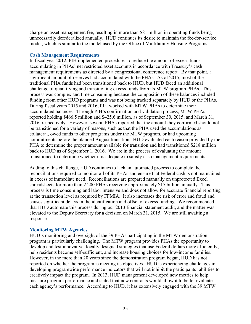charge an asset management fee, resulting in more than \$81 million in operating funds being unnecessarily defederalized annually. HUD continues its desire to maintain the fee-for-service model, which is similar to the model used by the Office of Multifamily Housing Programs.

# **Cash Management Requirements**

In fiscal year 2012, PIH implemented procedures to reduce the amount of excess funds accumulating in PHAs' net restricted asset accounts in accordance with Treasury's cash management requirements as directed by a congressional conference report. By that point, a significant amount of reserves had accumulated with the PHAs. As of 2015, most of the traditional PHA funds had been transitioned back to HUD, but HUD faced an additional challenge of quantifying and transitioning excess funds from its MTW program PHAs. This process was complex and time consuming because the composition of these balances included funding from other HUD programs and was not being tracked separately by HUD or the PHAs. During fiscal years 2015 and 2016, PIH worked with MTW PHAs to determine their accumulated balances. Through PIH's confirmation and validation process, MTW PHAs reported holding \$466.5 million and \$425.6 million, as of September 30, 2015, and March 31, 2016, respectively. However, several PHAs reported that the amount they confirmed should not be transitioned for a variety of reasons, such as that the PHA used the accumulations as collateral, owed funds to other programs under the MTW program, or had upcoming commitments before the planned August transition. HUD evaluated each reason provided by the PHA to determine the proper amount available for transition and had transitioned \$218 million back to HUD as of September 1, 2016. We are in the process of evaluating the amount transitioned to determine whether it is adequate to satisfy cash management requirements.

Adding to this challenge, HUD continues to lack an automated process to complete the reconciliations required to monitor all of its PHAs and ensure that Federal cash is not maintained in excess of immediate need. Reconciliations are prepared manually on unprotected Excel spreadsheets for more than 2,200 PHAs receiving approximately \$17 billion annually. This process is time consuming and labor intensive and does not allow for accurate financial reporting at the transaction level as required by FFMIA. It also increases the risk of error and fraud and causes significant delays in the identification and offset of excess funding. We recommended that HUD automate this process during our 2013 financial statement audit, and the matter was elevated to the Deputy Secretary for a decision on March 31, 2015. We are still awaiting a response.

# **Monitoring MTW Agencies**

HUD's monitoring and oversight of the 39 PHAs participating in the MTW demonstration program is particularly challenging. The MTW program provides PHAs the opportunity to develop and test innovative, locally designed strategies that use Federal dollars more efficiently, help residents become self-sufficient, and increase housing choices for low-income families. However, in the more than 20 years since the demonstration program began, HUD has not reported on whether the program is meeting its objectives. HUD is experiencing challenges in developing programwide performance indicators that will not inhibit the participants' abilities to creatively impact the program. In 2013, HUD management developed new metrics to help measure program performance and stated that new contracts would allow it to better evaluate each agency's performance. According to HUD, it has extensively engaged with the 39 MTW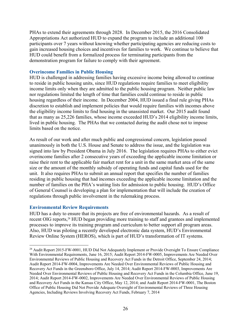PHAs to extend their agreements through 2028. In December 2015, the 2016 Consolidated Appropriations Act authorized HUD to expand the program to include an additional 100 participants over 7 years without knowing whether participating agencies are reducing costs to gain increased housing choices and incentives for families to work. We continue to believe that HUD could benefit from a formalized process for terminating participants from the demonstration program for failure to comply with their agreement.

# **Overincome Families in Public Housing**

HUD is challenged in addressing families having excessive income being allowed to continue to reside in public housing units, since HUD regulations require families to meet eligibility income limits only when they are admitted to the public housing program. Neither public law nor regulations limited the length of time that families could continue to reside in public housing regardless of their income. In December 2004, HUD issued a final rule giving PHAs discretion to establish and implement policies that would require families with incomes above the eligibility income limits to find housing in the unassisted market. Our 2015 audit found that as many as 25,226 families, whose income exceeded HUD's 2014 eligibility income limits, lived in public housing. The PHAs that we contacted during the audit chose not to impose limits based on the notice.

As result of our work and after much public and congressional concern, legislation passed unanimously in both the U.S. House and Senate to address the issue, and the legislation was signed into law by President Obama in July 2016. The legislation requires PHAs to either evict overincome families after 2 consecutive years of exceeding the applicable income limitation or raise their rent to the applicable fair market rent for a unit in the same market area of the same size or the amount of the monthly subsidy of operating funds and capital funds used for the unit. It also requires PHAs to submit an annual report that specifies the number of families residing in public housing that had incomes exceeding the applicable income limitation and the number of families on the PHA's waiting lists for admission to public housing. HUD's Office of General Counsel is developing a plan for implementation that will include the creation of regulations through public involvement in the rulemaking process.

# **Environmental Review Requirements**

HUD has a duty to ensure that its projects are free of environmental hazards. As a result of recent OIG reports,<sup>28</sup> HUD began providing more training to staff and grantees and implemented processes to improve its training program and curriculum to better support all program areas. Also, HUD was piloting a recently developed electronic data system, HUD's Environmental Review Online System (HEROS), which is part of HUD's transformation of IT systems.

<sup>&</sup>lt;sup>28</sup> Audit Report 2015-FW-0001, HUD Did Not Adequately Implement or Provide Oversight To Ensure Compliance With Environmental Requirements, June 16, 2015; Audit Report 2014-FW-0005, Improvements Are Needed Over Environmental Reviews of Public Housing and Recovery Act Funds in the Detroit Office, September 24, 2014; Audit Report 2014-FW-0004, Improvements Are Needed Over Environmental Reviews of Public Housing and Recovery Act Funds in the Greensboro Office, July 14, 2014; Audit Report 2014-FW-0003, Improvements Are Needed Over Environmental Reviews of Public Housing and Recovery Act Funds in the Columbia Office, June 19, 2014; Audit Report 2014-FW-0002, Improvements Are Needed Over Environmental Reviews of Public Housing and Recovery Act Funds in the Kansas City Office, May 12, 2014; and Audit Report 2014-FW-0001, The Boston Office of Public Housing Did Not Provide Adequate Oversight of Environmental Reviews of Three Housing Agencies, Including Reviews Involving Recovery Act Funds, February 7, 2014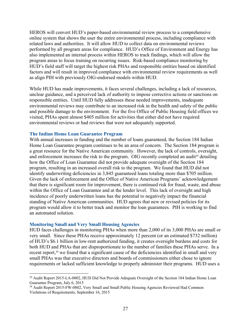HEROS will convert HUD's paper-based environmental review process to a comprehensive online system that shows the user the entire environmental process, including compliance with related laws and authorities. It will allow HUD to collect data on environmental reviews performed by all program areas for compliance. HUD's Office of Environment and Energy has also implemented an internal process within HEROS to track findings, which will allow the program areas to focus training on recurring issues. Risk-based compliance monitoring by HUD's field staff will target the highest risk PHAs and responsible entities based on identified factors and will result in improved compliance with environmental review requirements as well as align PIH with previously OIG-endorsed models within HUD.

While HUD has made improvements, it faces several challenges, including a lack of resources, unclear guidance, and a perceived lack of authority to impose corrective actions or sanctions on responsible entities. Until HUD fully addresses these needed improvements, inadequate environmental reviews may contribute to an increased risk in the health and safety of the public and possible damage to the environment. For the five Office of Public Housing field offices we visited, PHAs spent almost \$405 million for activities that either did not have required environmental reviews or had reviews that were not adequately supported.

#### **The Indian Home Loan Guarantee Program**

With annual increases in funding and the number of loans guaranteed, the Section 184 Indian Home Loan Guarantee program continues to be an area of concern. The Section 184 program is a great resource for the Native American community. However, the lack of controls, oversight, and enforcement increases the risk to the program. OIG recently completed an audit<sup>29</sup> detailing how the Office of Loan Guarantee did not provide adequate oversight of the Section 184 program, resulting in an increased overall risk to the program. We found that HUD did not identify underwriting deficiencies in 3,845 guaranteed loans totaling more than \$705 million. Given the lack of enforcement and the Office of Native American Programs' acknowledgement that there is significant room for improvement, there is continued risk for fraud, waste, and abuse within the Office of Loan Guarantee and at the lender level. This lack of oversight and high incidence of poorly underwritten loans has the potential to negatively impact the financial standing of Native American communities. HUD agrees that new or revised policies for its program would allow it to better track and monitor the loan guarantees. PIH is working to find an automated solution.

# **Monitoring Small and Very Small Housing Agencies**

HUD faces challenges in monitoring PHAs when more than 2,000 of its 3,000 PHAs are small or very small. Since these PHAs receive approximately 12 percent (or an estimated \$732 million) of HUD's \$6.1 billion in low-rent authorized funding, it creates oversight burdens and costs for both HUD and PHAs that are disproportionate to the number of families these PHAs serve. In a recent report,<sup>30</sup> we found that a significant cause of the deficiencies identified in small and very small PHAs was that executive directors and boards of commissioners either chose to ignore requirements or lacked sufficient knowledge to properly administer their programs. HUD uses a

<sup>&</sup>lt;sup>29</sup> Audit Report 2015-LA-0002, HUD Did Not Provide Adequate Oversight of the Section 184 Indian Home Loan Guarantee Program, July 6, 2015

<sup>&</sup>lt;sup>30</sup> Audit Report 2015-FW-0802, Very Small and Small Public Housing Agencies Reviewed Had Common Violations of Requirements, September 16, 2015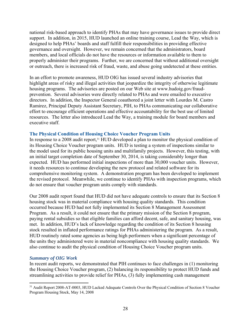national risk-based approach to identify PHAs that may have governance issues to provide direct support. In addition, in 2015, HUD launched an online training course, Lead the Way*,* which is designed to help PHAs' boards and staff fulfill their responsibilities in providing effective governance and oversight. However, we remain concerned that the administrators, board members, and local officials do not have the resources or information available to them to properly administer their programs. Further, we are concerned that without additional oversight or outreach, there is increased risk of fraud, waste, and abuse going undetected at these entities.

In an effort to promote awareness, HUD OIG has issued several industry advisories that highlight areas of risky and illegal activities that jeopardize the integrity of otherwise legitimate housing programs. The advisories are posted on our Web site at www.hudoig.gov/fraudprevention. Several advisories were directly related to PHAs and were emailed to executive directors. In addition, the Inspector General coauthored a joint letter with Lourdes M. Castro Ramirez, Principal Deputy Assistant Secretary, PIH, to PHAs communicating our collaborative effort to encourage efficient operations and effective accountability for the best use of limited resources. The letter also introduced Lead the Way*,* a training module for board members and executive staff.

#### **The Physical Condition of Housing Choice Voucher Program Units**

In response to a 2008 audit report,<sup>31</sup> HUD developed a plan to monitor the physical condition of its Housing Choice Voucher program units. HUD is testing a system of inspections similar to the model used for its public housing units and multifamily projects. However, this testing, with an initial target completion date of September 30, 2014, is taking considerably longer than expected. HUD has performed initial inspections of more than 30,000 voucher units. However, it needs resources to continue developing the new protocol and related software for its comprehensive monitoring system. A demonstration program has been developed to implement the revised protocol. Meanwhile, we continue to identify PHAs with inspection programs, which do not ensure that voucher program units comply with standards.

Our 2008 audit report found that HUD did not have adequate controls to ensure that its Section 8 housing stock was in material compliance with housing quality standards. This condition occurred because HUD had not fully implemented its Section 8 Management Assessment Program. As a result, it could not ensure that the primary mission of the Section 8 program, paying rental subsidies so that eligible families can afford decent, safe, and sanitary housing, was met. In addition, HUD's lack of knowledge regarding the condition of its Section 8 housing stock resulted in inflated performance ratings for PHAs administering the program. As a result, HUD routinely rated some agencies as being high performers when a significant percentage of the units they administered were in material noncompliance with housing quality standards. We also continue to audit the physical condition of Housing Choice Voucher program units.

#### *Summary of OIG Work*

In recent audit reports, we demonstrated that PIH continues to face challenges in (1) monitoring the Housing Choice Voucher program, (2) balancing its responsibility to protect HUD funds and streamlining activities to provide relief for PHAs, (3) fully implementing cash management

<sup>31</sup> Audit Report 2008-AT-0003, HUD Lacked Adequate Controls Over the Physical Condition of Section 8 Voucher Program Housing Stock, May 14, 2008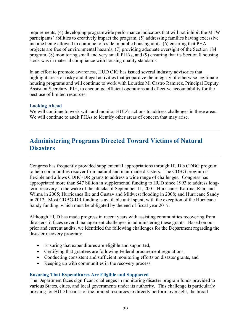requirements, (4) developing programwide performance indicators that will not inhibit the MTW participants' abilities to creatively impact the program, (5) addressing families having excessive income being allowed to continue to reside in public housing units, (6) ensuring that PHA projects are free of environmental hazards, (7) providing adequate oversight of the Section 184 program, (8) monitoring small and very small PHAs, and (9) ensuring that its Section 8 housing stock was in material compliance with housing quality standards.

In an effort to promote awareness, HUD OIG has issued several industry advisories that highlight areas of risky and illegal activities that jeopardize the integrity of otherwise legitimate housing programs and will continue to work with Lourdes M. Castro Ramirez, Principal Deputy Assistant Secretary, PIH, to encourage efficient operations and effective accountability for the best use of limited resources.

# **Looking Ahead**

We will continue to work with and monitor HUD's actions to address challenges in these areas. We will continue to audit PHAs to identify other areas of concern that may arise.

# **Administering Programs Directed Toward Victims of Natural Disasters**

Congress has frequently provided supplemental appropriations through HUD's CDBG program to help communities recover from natural and man-made disasters. The CDBG program is flexible and allows CDBG-DR grants to address a wide range of challenges. Congress has appropriated more than \$47 billion in supplemental funding to HUD since 1993 to address longterm recovery in the wake of the attacks of September 11, 2001; Hurricanes Katrina, Rita, and Wilma in 2005; Hurricanes Ike and Gustav and Midwest flooding in 2008; and Hurricane Sandy in 2012. Most CDBG-DR funding is available until spent, with the exception of the Hurricane Sandy funding, which must be obligated by the end of fiscal year 2017.

Although HUD has made progress in recent years with assisting communities recovering from disasters, it faces several management challenges in administering these grants. Based on our prior and current audits, we identified the following challenges for the Department regarding the disaster recovery program:

- Ensuring that expenditures are eligible and supported,
- Certifying that grantees are following Federal procurement regulations,
- Conducting consistent and sufficient monitoring efforts on disaster grants, and
- Keeping up with communities in the recovery process.

# **Ensuring That Expenditures Are Eligible and Supported**

The Department faces significant challenges in monitoring disaster program funds provided to various States, cities, and local governments under its authority. This challenge is particularly pressing for HUD because of the limited resources to directly perform oversight, the broad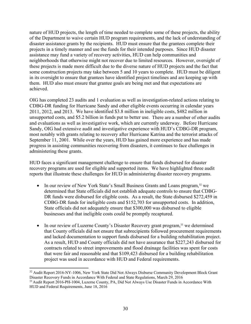nature of HUD projects, the length of time needed to complete some of these projects, the ability of the Department to waive certain HUD program requirements, and the lack of understanding of disaster assistance grants by the recipients. HUD must ensure that the grantees complete their projects in a timely manner and use the funds for their intended purposes. Since HUD disaster assistance may fund a variety of recovery activities, HUD can help communities and neighborhoods that otherwise might not recover due to limited resources. However, oversight of these projects is made more difficult due to the diverse nature of HUD projects and the fact that some construction projects may take between 5 and 10 years to complete. HUD must be diligent in its oversight to ensure that grantees have identified project timelines and are keeping up with them. HUD also must ensure that grantee goals are being met and that expectations are achieved.

OIG has completed 23 audits and 1 evaluation as well as investigation-related actions relating to CDBG-DR funding for Hurricane Sandy and other eligible events occurring in calendar years 2011, 2012, and 2013. We have identified \$3.8 million in ineligible costs, \$482 million in unsupported costs, and \$5.2 billion in funds put to better use. There are a number of other audits and evaluations as well as investigative work, which are currently underway. Before Hurricane Sandy, OIG had extensive audit and investigative experience with HUD's CDBG-DR program, most notably with grants relating to recovery after Hurricane Katrina and the terrorist attacks of September 11, 2001. While over the years, HUD has gained more experience and has made progress in assisting communities recovering from disasters, it continues to face challenges in administering these grants.

HUD faces a significant management challenge to ensure that funds disbursed for disaster recovery programs are used for eligible and supported items. We have highlighted three audit reports that illustrate these challenges for HUD in administering disaster recovery programs.

- In our review of New York State's Small Business Grants and Loans program,<sup>32</sup> we determined that State officials did not establish adequate controls to ensure that CDBG-DR funds were disbursed for eligible costs. As a result, the State disbursed \$272,459 in CDBG-DR funds for ineligible costs and \$152,703 for unsupported costs. In addition, State officials did not adequately ensure that \$300,000 was disbursed to eligible businesses and that ineligible costs could be promptly recaptured.
- $\bullet$  In our review of Luzerne County's Disaster Recovery grant program,<sup>33</sup> we determined that County officials did not ensure that subrecipients followed procurement requirements and lacked documentation to support funds disbursed for a building rehabilitation project. As a result, HUD and County officials did not have assurance that \$227,243 disbursed for contracts related to street improvements and flood drainage facilities was spent for costs that were fair and reasonable and that \$109,423 disbursed for a building rehabilitation project was used in accordance with HUD and Federal requirements.

 32 Audit Report 2016-NY-1006, New York State Did Not Always Disburse Community Development Block Grant Disaster Recovery Funds in Accordance With Federal and State Regulations, March 29, 2016

<sup>33</sup> Audit Report 2016-PH-1004, Luzerne County, PA, Did Not Always Use Disaster Funds in Accordance With HUD and Federal Requirements, June 18, 2016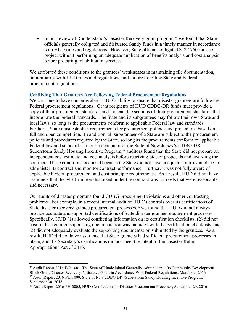• In our review of Rhode Island's Disaster Recovery grant program,<sup>34</sup> we found that State officials generally obligated and disbursed Sandy funds in a timely manner in accordance with HUD rules and regulations. However, State officials obligated \$127,750 for one project without performing an adequate duplication of benefits analysis and cost analysis before procuring rehabilitation services.

We attributed these conditions to the grantees' weaknesses in maintaining file documentation, unfamiliarity with HUD rules and regulations, and failure to follow State and Federal procurement regulations.

# **Certifying That Grantees Are Following Federal Procurement Regulations**

We continue to have concerns about HUD's ability to ensure that disaster grantees are following Federal procurement regulations. Grant recipients of HUD CDBG-DR funds must provide a copy of their procurement standards and indicate the sections of their procurement standards that incorporate the Federal standards. The State and its subgrantees may follow their own State and local laws, so long as the procurements conform to applicable Federal law and standards. Further, a State must establish requirements for procurement policies and procedures based on full and open competition. In addition, all subgrantees of a State are subject to the procurement policies and procedures required by the State, so long as the procurements conform to applicable Federal law and standards. In our recent audit of the State of New Jersey's CDBG-DR Superstorm Sandy Housing Incentive Program,<sup>35</sup> auditors found that the State did not prepare an independent cost estimate and cost analysis before receiving bids or proposals and awarding the contract. These conditions occurred because the State did not have adequate controls in place to administer its contract and monitor contract performance. Further, it was not fully aware of applicable Federal procurement and cost principle requirements. As a result, HUD did not have assurance that the \$43.1 million disbursed under the contract was for costs that were reasonable and necessary.

Our audits of disaster programs found CDBG procurement violations and other contracting problems. For example, in a recent internal audit of HUD's controls over its certifications of State disaster recovery grantee procurement processes,<sup>36</sup> we found that HUD did not always provide accurate and supported certifications of State disaster grantee procurement processes. Specifically, HUD (1) allowed conflicting information on its certification checklists, (2) did not ensure that required supporting documentation was included with the certification checklists, and (3) did not adequately evaluate the supporting documentation submitted by the grantees. As a result, HUD did not have assurance that State grantees had sufficient procurement processes in place, and the Secretary's certifications did not meet the intent of the Disaster Relief Appropriations Act of 2013.

<sup>&</sup>lt;sup>34</sup> Audit Report 2016-BO-1001, The State of Rhode Island Generally Administered Its Community Development Block Grant Disaster Recovery Assistance Grant in Accordance With Federal Regulations, March 09, 2016 35 Audit Report 2016-PH-1009, State of NJ's CDBG DR "Superstorm Sandy Housing Incentive Program," September 30, 2016

<sup>36</sup> Audit Report 2016-PH-0005, HUD Certifications of Disaster Procurement Processes, September 29, 2016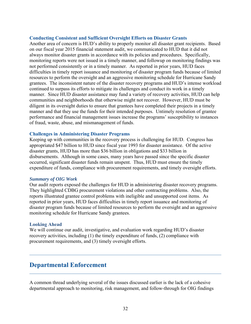#### **Conducting Consistent and Sufficient Oversight Efforts on Disaster Grants**

Another area of concern is HUD's ability to properly monitor all disaster grant recipients. Based on our fiscal year 2015 financial statement audit, we communicated to HUD that it did not always monitor disaster grants in accordance with its policies and procedures. Specifically, monitoring reports were not issued in a timely manner, and followup on monitoring findings was not performed consistently or in a timely manner. As reported in prior years, HUD faces difficulties in timely report issuance and monitoring of disaster program funds because of limited resources to perform the oversight and an aggressive monitoring schedule for Hurricane Sandy grantees. The inconsistent nature of the disaster recovery programs and HUD's intense workload continued to surpass its efforts to mitigate its challenges and conduct its work in a timely manner. Since HUD disaster assistance may fund a variety of recovery activities, HUD can help communities and neighborhoods that otherwise might not recover. However, HUD must be diligent in its oversight duties to ensure that grantees have completed their projects in a timely manner and that they use the funds for their intended purposes. Untimely resolution of grantee performance and financial management issues increase the programs' susceptibility to instances of fraud, waste, abuse, and mismanagement of funds.

#### **Challenges in Administering Disaster Programs**

Keeping up with communities in the recovery process is challenging for HUD. Congress has appropriated \$47 billion to HUD since fiscal year 1993 for disaster assistance. Of the active disaster grants, HUD has more than \$36 billion in obligations and \$33 billion in disbursements. Although in some cases, many years have passed since the specific disaster occurred, significant disaster funds remain unspent. Thus, HUD must ensure the timely expenditure of funds, compliance with procurement requirements, and timely oversight efforts.

#### *Summary of OIG Work*

Our audit reports exposed the challenges for HUD in administering disaster recovery programs. They highlighted CDBG procurement violations and other contracting problems. Also, the reports illustrated grantee control problems with ineligible and unsupported cost items. As reported in prior years, HUD faces difficulties in timely report issuance and monitoring of disaster program funds because of limited resources to perform the oversight and an aggressive monitoring schedule for Hurricane Sandy grantees.

#### **Looking Ahead**

We will continue our audit, investigative, and evaluation work regarding HUD's disaster recovery activities, including (1) the timely expenditure of funds, (2) compliance with procurement requirements, and (3) timely oversight efforts.

# **Departmental Enforcement**

A common thread underlying several of the issues discussed earlier is the lack of a cohesive departmental approach to monitoring, risk management, and follow-through for OIG findings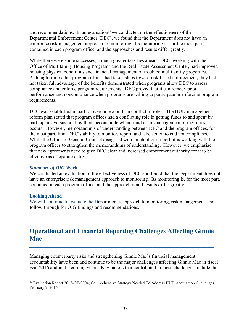and recommendations. In an evaluation<sup>37</sup> we conducted on the effectiveness of the Departmental Enforcement Center (DEC), we found that the Department does not have an enterprise risk management approach to monitoring. Its monitoring is, for the most part, contained in each program office, and the approaches and results differ greatly.

While there were some successes, a much greater task lies ahead. DEC, working with the Office of Multifamily Housing Programs and the Real Estate Assessment Center, had improved housing physical conditions and financial management of troubled multifamily properties. Although some other program offices had taken steps toward risk-based enforcement, they had not taken full advantage of the benefits demonstrated when programs allow DEC to assess compliance and enforce program requirements. DEC proved that it can remedy poor performance and noncompliance when programs are willing to participate in enforcing program requirements.

DEC was established in part to overcome a built-in conflict of roles. The HUD management reform plan stated that program offices had a conflicting role in getting funds to and spent by participants versus holding them accountable when fraud or mismanagement of the funds occurs. However, memorandums of understanding between DEC and the program offices, for the most part, limit DEC's ability to monitor, report, and take action to end noncompliance. While the Office of General Counsel disagreed with much of our report, it is working with the program offices to strengthen the memorandums of understanding. However, we emphasize that new agreements need to give DEC clear and increased enforcement authority for it to be effective as a separate entity.

#### *Summary of OIG Work*

We conducted an evaluation of the effectiveness of DEC and found that the Department does not have an enterprise risk management approach to monitoring. Its monitoring is, for the most part, contained in each program office, and the approaches and results differ greatly.

#### **Looking Ahead**

We will continue to evaluate the Department's approach to monitoring, risk management, and follow-through for OIG findings and recommendations.

# **Operational and Financial Reporting Challenges Affecting Ginnie Mae**

Managing counterparty risks and strengthening Ginnie Mae's financial management accountability have been and continue to be the major challenges affecting Ginnie Mae in fiscal year 2016 and in the coming years. Key factors that contributed to these challenges include the

<sup>&</sup>lt;sup>37</sup> Evaluation Report 2015-OE-0004, Comprehensive Strategy Needed To Address HUD Acquisition Challenges, February 2, 2016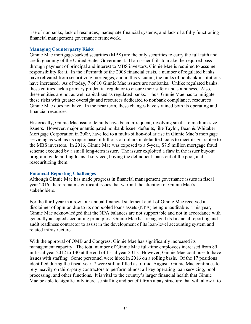rise of nonbanks, lack of resources, inadequate financial systems, and lack of a fully functioning financial management governance framework.

# **Managing Counterparty Risks**

Ginnie Mae mortgage-backed securities (MBS) are the only securities to carry the full faith and credit guaranty of the United States Government. If an issuer fails to make the required passthrough payment of principal and interest to MBS investors, Ginnie Mae is required to assume responsibility for it. In the aftermath of the 2008 financial crisis, a number of regulated banks have retreated from securitizing mortgages, and in this vacuum, the ranks of nonbank institutions have increased. As of today, 7 of 10 Ginnie Mae issuers are nonbanks. Unlike regulated banks, these entities lack a primary prudential regulator to ensure their safety and soundness. Also, these entities are not as well capitalized as regulated banks. Thus, Ginnie Mae has to mitigate these risks with greater oversight and resources dedicated to nonbank compliance, resources Ginnie Mae does not have. In the near term, these changes have strained both its operating and financial resources.

Historically, Ginnie Mae issuer defaults have been infrequent, involving small- to medium-size issuers. However, major unanticipated nonbank issuer defaults, like Taylor, Bean & Whitaker Mortgage Corporation in 2009, have led to a multi-billion-dollar rise in Ginnie Mae's mortgage servicing as well as its repurchase of billions of dollars in defaulted loans to meet its guarantee to the MBS investors. In 2016, Ginnie Mae was exposed to a 5-year, \$7.5 million mortgage fraud scheme executed by a small long-term issuer. The issuer exploited a flaw in the issuer buyout program by defaulting loans it serviced, buying the delinquent loans out of the pool, and resecuritizing them.

# **Financial Reporting Challenges**

Although Ginnie Mae has made progress in financial management governance issues in fiscal year 2016, there remain significant issues that warrant the attention of Ginnie Mae's stakeholders.

For the third year in a row, our annual financial statement audit of Ginnie Mae received a disclaimer of opinion due to its nonpooled loans assets (NPA) being unauditable. This year, Ginnie Mae acknowledged that the NPA balances are not supportable and not in accordance with generally accepted accounting principles. Ginnie Mae has reengaged its financial reporting and audit readiness contractor to assist in the development of its loan-level accounting system and related infrastructure.

With the approval of OMB and Congress, Ginnie Mae has significantly increased its management capacity. The total number of Ginnie Mae full-time employees increased from 89 in fiscal year 2012 to 130 at the end of fiscal year 2015. However, Ginnie Mae continues to have issues with staffing. Some personnel were hired in 2016 on a rolling basis. Of the 17 positions identified during the fiscal year, 7 were still unfilled as of mid-August. Ginnie Mae continues to rely heavily on third-party contractors to perform almost all key operating loan servicing, pool processing, and other functions. It is vital to the country's larger financial health that Ginnie Mae be able to significantly increase staffing and benefit from a pay structure that will allow it to